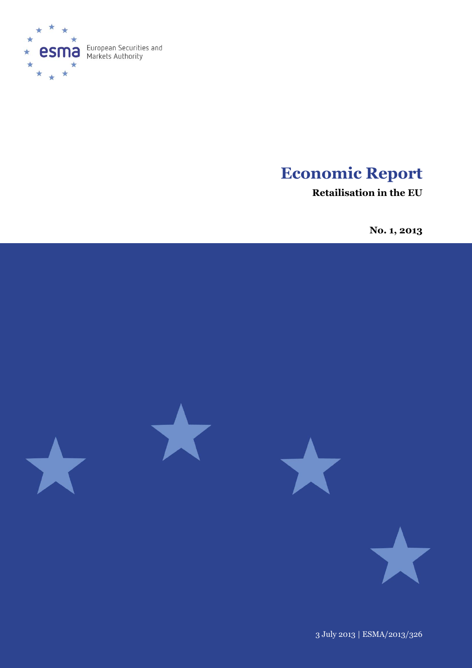

# **Economic Report**

**Retailisation in the EU** 

**No. 1, 2013**



3 July 2013 | ESMA/2013/326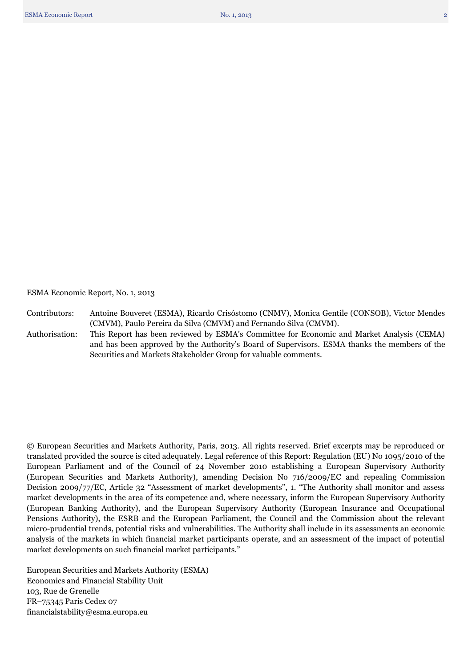ESMA Economic Report, No. 1, 2013

Contributors: Antoine Bouveret (ESMA), Ricardo Crisóstomo (CNMV), Monica Gentile (CONSOB), Victor Mendes (CMVM), Paulo Pereira da Silva (CMVM) and Fernando Silva (CMVM). Authorisation: This Report has been reviewed by ESMA's Committee for Economic and Market Analysis (CEMA)

and has been approved by the Authority's Board of Supervisors. ESMA thanks the members of the Securities and Markets Stakeholder Group for valuable comments.

© European Securities and Markets Authority, Paris, 2013. All rights reserved. Brief excerpts may be reproduced or translated provided the source is cited adequately. Legal reference of this Report: Regulation (EU) No 1095/2010 of the European Parliament and of the Council of 24 November 2010 establishing a European Supervisory Authority (European Securities and Markets Authority), amending Decision No 716/2009/EC and repealing Commission Decision 2009/77/EC, Article 32 "Assessment of market developments", 1. "The Authority shall monitor and assess market developments in the area of its competence and, where necessary, inform the European Supervisory Authority (European Banking Authority), and the European Supervisory Authority (European Insurance and Occupational Pensions Authority), the ESRB and the European Parliament, the Council and the Commission about the relevant micro-prudential trends, potential risks and vulnerabilities. The Authority shall include in its assessments an economic analysis of the markets in which financial market participants operate, and an assessment of the impact of potential market developments on such financial market participants."

European Securities and Markets Authority (ESMA) Economics and Financial Stability Unit 103, Rue de Grenelle FR–75345 Paris Cedex 07 financialstability@esma.europa.eu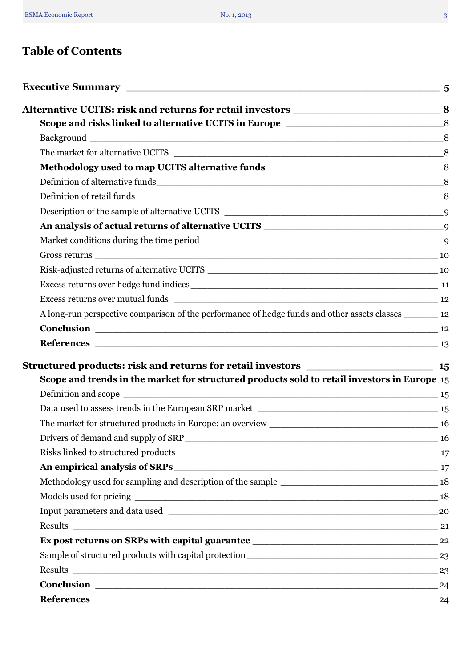# **Table of Contents**

|                                                                                                           | 8 |
|-----------------------------------------------------------------------------------------------------------|---|
|                                                                                                           |   |
|                                                                                                           |   |
|                                                                                                           |   |
|                                                                                                           |   |
|                                                                                                           |   |
|                                                                                                           |   |
|                                                                                                           |   |
|                                                                                                           |   |
|                                                                                                           |   |
|                                                                                                           |   |
|                                                                                                           |   |
| A long-run perspective comparison of the performance of hedge funds and other assets classes _________ 12 |   |
|                                                                                                           |   |
|                                                                                                           |   |
|                                                                                                           |   |
| Scope and trends in the market for structured products sold to retail investors in Europe 15              |   |
|                                                                                                           |   |
|                                                                                                           |   |
|                                                                                                           |   |
|                                                                                                           |   |
|                                                                                                           |   |
| An empirical analysis of SRPs 17                                                                          |   |
|                                                                                                           |   |
|                                                                                                           |   |
|                                                                                                           |   |
|                                                                                                           |   |
|                                                                                                           |   |
|                                                                                                           |   |
|                                                                                                           |   |
|                                                                                                           |   |
|                                                                                                           |   |
|                                                                                                           |   |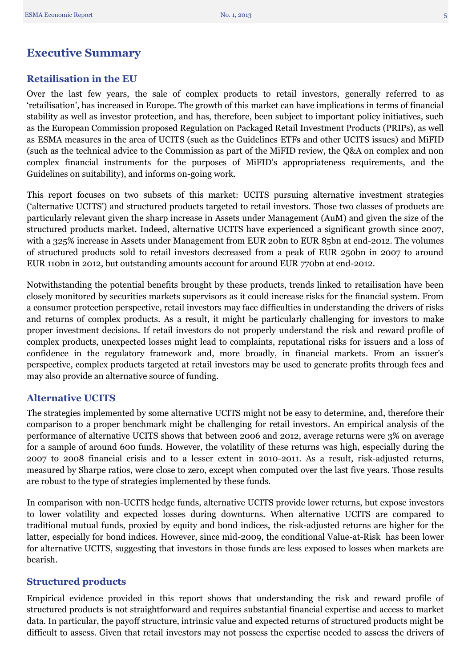# <span id="page-4-0"></span>**Executive Summary**

# **Retailisation in the EU**

Over the last few years, the sale of complex products to retail investors, generally referred to as 'retailisation', has increased in Europe. The growth of this market can have implications in terms of financial stability as well as investor protection, and has, therefore, been subject to important policy initiatives, such as the European Commission proposed Regulation on Packaged Retail Investment Products (PRIPs), as well as ESMA measures in the area of UCITS (such as the Guidelines ETFs and other UCITS issues) and MiFID (such as the technical advice to the Commission as part of the MiFID review, the Q&A on complex and non complex financial instruments for the purposes of MiFID's appropriateness requirements, and the Guidelines on suitability), and informs on-going work.

This report focuses on two subsets of this market: UCITS pursuing alternative investment strategies ('alternative UCITS') and structured products targeted to retail investors. Those two classes of products are particularly relevant given the sharp increase in Assets under Management (AuM) and given the size of the structured products market. Indeed, alternative UCITS have experienced a significant growth since 2007, with a 325% increase in Assets under Management from EUR 20bn to EUR 85bn at end-2012. The volumes of structured products sold to retail investors decreased from a peak of EUR 250bn in 2007 to around EUR 110bn in 2012, but outstanding amounts account for around EUR 770bn at end-2012.

Notwithstanding the potential benefits brought by these products, trends linked to retailisation have been closely monitored by securities markets supervisors as it could increase risks for the financial system. From a consumer protection perspective, retail investors may face difficulties in understanding the drivers of risks and returns of complex products. As a result, it might be particularly challenging for investors to make proper investment decisions. If retail investors do not properly understand the risk and reward profile of complex products, unexpected losses might lead to complaints, reputational risks for issuers and a loss of confidence in the regulatory framework and, more broadly, in financial markets. From an issuer's perspective, complex products targeted at retail investors may be used to generate profits through fees and may also provide an alternative source of funding.

# **Alternative UCITS**

The strategies implemented by some alternative UCITS might not be easy to determine, and, therefore their comparison to a proper benchmark might be challenging for retail investors. An empirical analysis of the performance of alternative UCITS shows that between 2006 and 2012, average returns were 3% on average for a sample of around 600 funds. However, the volatility of these returns was high, especially during the 2007 to 2008 financial crisis and to a lesser extent in 2010-2011. As a result, risk-adjusted returns, measured by Sharpe ratios, were close to zero, except when computed over the last five years. Those results are robust to the type of strategies implemented by these funds.

In comparison with non-UCITS hedge funds, alternative UCITS provide lower returns, but expose investors to lower volatility and expected losses during downturns. When alternative UCITS are compared to traditional mutual funds, proxied by equity and bond indices, the risk-adjusted returns are higher for the latter, especially for bond indices. However, since mid-2009, the conditional Value-at-Risk has been lower for alternative UCITS, suggesting that investors in those funds are less exposed to losses when markets are bearish.

# **Structured products**

Empirical evidence provided in this report shows that understanding the risk and reward profile of structured products is not straightforward and requires substantial financial expertise and access to market data. In particular, the payoff structure, intrinsic value and expected returns of structured products might be difficult to assess. Given that retail investors may not possess the expertise needed to assess the drivers of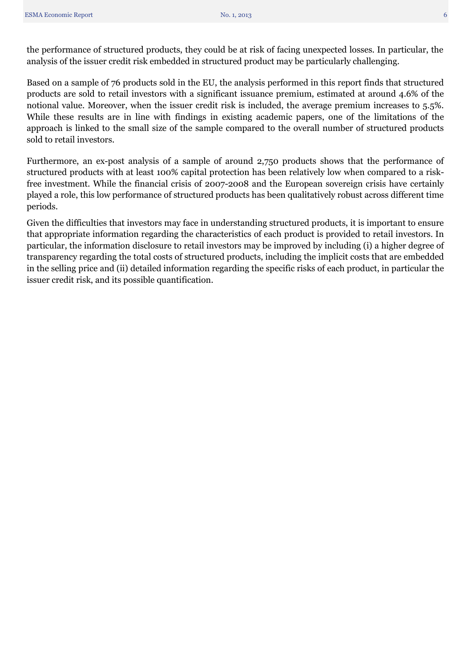the performance of structured products, they could be at risk of facing unexpected losses. In particular, the analysis of the issuer credit risk embedded in structured product may be particularly challenging.

Based on a sample of 76 products sold in the EU, the analysis performed in this report finds that structured products are sold to retail investors with a significant issuance premium, estimated at around 4.6% of the notional value. Moreover, when the issuer credit risk is included, the average premium increases to 5.5%. While these results are in line with findings in existing academic papers, one of the limitations of the approach is linked to the small size of the sample compared to the overall number of structured products sold to retail investors.

Furthermore, an ex-post analysis of a sample of around 2,750 products shows that the performance of structured products with at least 100% capital protection has been relatively low when compared to a riskfree investment. While the financial crisis of 2007-2008 and the European sovereign crisis have certainly played a role, this low performance of structured products has been qualitatively robust across different time periods.

Given the difficulties that investors may face in understanding structured products, it is important to ensure that appropriate information regarding the characteristics of each product is provided to retail investors. In particular, the information disclosure to retail investors may be improved by including (i) a higher degree of transparency regarding the total costs of structured products, including the implicit costs that are embedded in the selling price and (ii) detailed information regarding the specific risks of each product, in particular the issuer credit risk, and its possible quantification.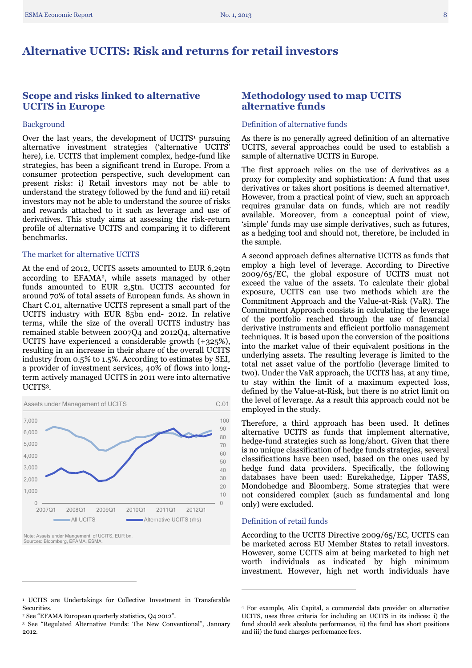# <span id="page-7-0"></span>**Alternative UCITS: Risk and returns for retail investors**

## <span id="page-7-1"></span>**Scope and risks linked to alternative UCITS in Europe**

#### <span id="page-7-2"></span>Background

Over the last years, the development of UCITS<sup>1</sup> pursuing alternative investment strategies ('alternative UCITS' here), i.e. UCITS that implement complex, hedge-fund like strategies, has been a significant trend in Europe. From a consumer protection perspective, such development can present risks: i) Retail investors may not be able to understand the strategy followed by the fund and iii) retail investors may not be able to understand the source of risks and rewards attached to it such as leverage and use of derivatives. This study aims at assessing the risk-return profile of alternative UCITS and comparing it to different benchmarks.

#### <span id="page-7-3"></span>The market for alternative UCITS

At the end of 2012, UCITS assets amounted to EUR 6,29tn according to EFAMA<sup>2</sup>, while assets managed by other funds amounted to EUR 2,5tn. UCITS accounted for around 70% of total assets of European funds. As shown in Chart C.01, alternative UCITS represent a small part of the UCITS industry with EUR 85bn end- 2012. In relative terms, while the size of the overall UCITS industry has remained stable between 2007Q4 and 2012Q4, alternative UCITS have experienced a considerable growth (+325%), resulting in an increase in their share of the overall UCITS industry from 0.5% to 1.5%. According to estimates by SEI, a provider of investment services, 40% of flows into longterm actively managed UCITS in 2011 were into alternative UCITS<sup>3</sup>.



<span id="page-7-4"></span>Note: Assets under Mangement of UCITS, EUR bn. Sources: Bloomberg, EFAMA, ESMA.

 $\overline{a}$ 

#### <sup>1</sup> UCITS are Undertakings for Collective Investment in Transferable Securities.

### **Methodology used to map UCITS alternative funds**

#### <span id="page-7-5"></span>Definition of alternative funds

As there is no generally agreed definition of an alternative UCITS, several approaches could be used to establish a sample of alternative UCITS in Europe.

The first approach relies on the use of derivatives as a proxy for complexity and sophistication: A fund that uses derivatives or takes short positions is deemed alternative4. However, from a practical point of view, such an approach requires granular data on funds, which are not readily available. Moreover, from a conceptual point of view, 'simple' funds may use simple derivatives, such as futures, as a hedging tool and should not, therefore, be included in the sample.

A second approach defines alternative UCITS as funds that employ a high level of leverage. According to Directive 2009/65/EC, the global exposure of UCITS must not exceed the value of the assets. To calculate their global exposure, UCITS can use two methods which are the Commitment Approach and the Value-at-Risk (VaR). The Commitment Approach consists in calculating the leverage of the portfolio reached through the use of financial derivative instruments and efficient portfolio management techniques. It is based upon the conversion of the positions into the market value of their equivalent positions in the underlying assets. The resulting leverage is limited to the total net asset value of the portfolio (leverage limited to two). Under the VaR approach, the UCITS has, at any time, to stay within the limit of a maximum expected loss, defined by the Value-at-Risk, but there is no strict limit on the level of leverage. As a result this approach could not be employed in the study.

Therefore, a third approach has been used. It defines alternative UCITS as funds that implement alternative, hedge-fund strategies such as long/short. Given that there is no unique classification of hedge funds strategies, several classifications have been used, based on the ones used by hedge fund data providers. Specifically, the following databases have been used: Eurekahedge, Lipper TASS, Mondohedge and Bloomberg. Some strategies that were not considered complex (such as fundamental and long only) were excluded.

#### <span id="page-7-6"></span>Definition of retail funds

**.** 

According to the UCITS Directive 2009/65/EC, UCITS can be marketed across EU Member States to retail investors. However, some UCITS aim at being marketed to high net worth individuals as indicated by high minimum investment. However, high net worth individuals have

<sup>2</sup> See "EFAMA European quarterly statistics, Q4 2012".

<sup>3</sup> See "Regulated Alternative Funds: The New Conventional", January 2012.

<sup>4</sup> For example, Alix Capital, a commercial data provider on alternative UCITS, uses three criteria for including an UCITS in its indices: i) the fund should seek absolute performance, ii) the fund has short positions and iii) the fund charges performance fees.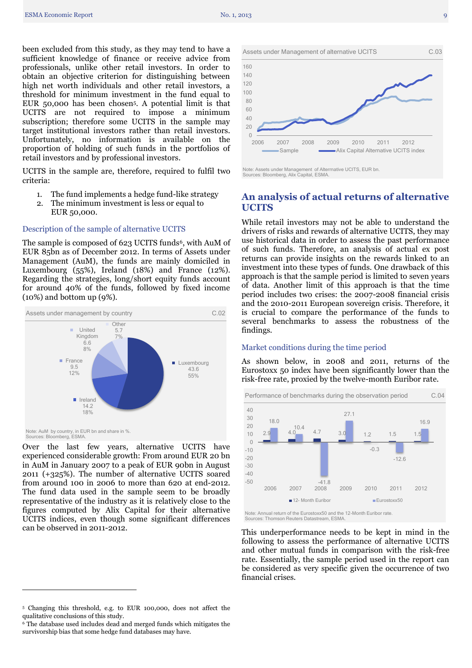been excluded from this study, as they may tend to have a sufficient knowledge of finance or receive advice from professionals, unlike other retail investors. In order to obtain an objective criterion for distinguishing between high net worth individuals and other retail investors, a threshold for minimum investment in the fund equal to EUR 50,000 has been chosen5. A potential limit is that UCITS are not required to impose a minimum subscription; therefore some UCITS in the sample may target institutional investors rather than retail investors. Unfortunately, no information is available on the proportion of holding of such funds in the portfolios of retail investors and by professional investors.

UCITS in the sample are, therefore, required to fulfil two criteria:

- 1. The fund implements a hedge fund-like strategy
- 2. The minimum investment is less or equal to EUR 50,000.

#### <span id="page-8-0"></span>Description of the sample of alternative UCITS

The sample is composed of 623 UCITS funds<sup>6</sup>, with AuM of EUR 85bn as of December 2012. In terms of Assets under Management (AuM), the funds are mainly domiciled in Luxembourg (55%), Ireland (18%) and France (12%). Regarding the strategies, long/short equity funds account for around 40% of the funds, followed by fixed income (10%) and bottom up (9%).



Over the last few years, alternative UCITS have experienced considerable growth: From around EUR 20 bn in AuM in January 2007 to a peak of EUR 90bn in August 2011 (+325%). The number of alternative UCITS soared from around 100 in 2006 to more than 620 at end-2012. The fund data used in the sample seem to be broadly representative of the industry as it is relatively close to the figures computed by Alix Capital for their alternative UCITS indices, even though some significant differences can be observed in 2011-2012.

 $\overline{a}$ 



Note: Assets under Management of Alterrnative UCITS, EUR bn. Sources: Bloomberg, Alix Capital, ESMA.

# <span id="page-8-1"></span>**An analysis of actual returns of alternative UCITS**

While retail investors may not be able to understand the drivers of risks and rewards of alternative UCITS, they may use historical data in order to assess the past performance of such funds. Therefore, an analysis of actual ex post returns can provide insights on the rewards linked to an investment into these types of funds. One drawback of this approach is that the sample period is limited to seven years of data. Another limit of this approach is that the time period includes two crises: the 2007-2008 financial crisis and the 2010-2011 European sovereign crisis. Therefore, it is crucial to compare the performance of the funds to several benchmarks to assess the robustness of the findings.

#### <span id="page-8-2"></span>Market conditions during the time period

As shown below, in 2008 and 2011, returns of the Eurostoxx 50 index have been significantly lower than the risk-free rate, proxied by the twelve-month Euribor rate.



This underperformance needs to be kept in mind in the following to assess the performance of alternative UCITS and other mutual funds in comparison with the risk-free rate. Essentially, the sample period used in the report can be considered as very specific given the occurrence of two financial crises.

<sup>5</sup> Changing this threshold, e.g. to EUR 100,000, does not affect the qualitative conclusions of this study.

<sup>6</sup> The database used includes dead and merged funds which mitigates the survivorship bias that some hedge fund databases may have.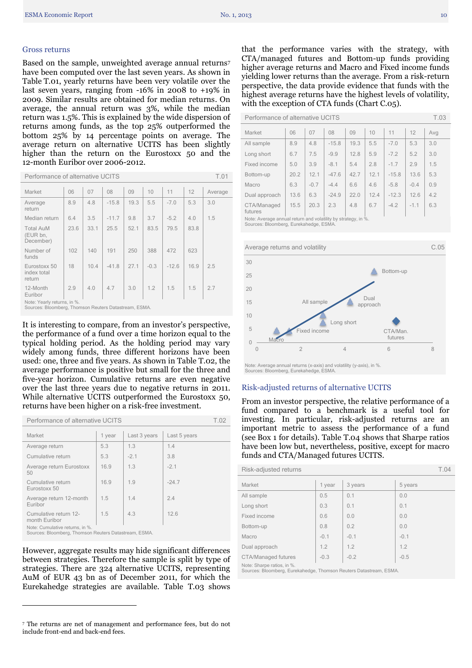#### <span id="page-9-0"></span>Gross returns

Based on the sample, unweighted average annual returns<sup>7</sup> have been computed over the last seven years. As shown in Table T.01, yearly returns have been very volatile over the last seven years, ranging from -16% in 2008 to +19% in 2009. Similar results are obtained for median returns. On average, the annual return was 3%, while the median return was 1.5%. This is explained by the wide dispersion of returns among funds, as the top 25% outperformed the bottom 25% by 14 percentage points on average. The average return on alternative UCITS has been slightly higher than the return on the Eurostoxx 50 and the 12-month Euribor over 2006-2012.

| T.01<br>Performance of alternative UCITS                                             |      |      |         |      |        |         |      |         |
|--------------------------------------------------------------------------------------|------|------|---------|------|--------|---------|------|---------|
| Market                                                                               | 06   | 07   | 08      | 09   | 10     | 11      | 12   | Average |
| Average<br>return                                                                    | 8.9  | 4.8  | $-15.8$ | 19.3 | 5.5    | $-7.0$  | 5.3  | 3.0     |
| Median return                                                                        | 6.4  | 3.5  | $-11.7$ | 9.8  | 3.7    | $-5.2$  | 4.0  | 1.5     |
| <b>Total AuM</b><br>(EUR bn,<br>December)                                            | 23.6 | 33.1 | 25.5    | 52.1 | 83.5   | 79.5    | 83.8 |         |
| Number of<br>funds                                                                   | 102  | 140  | 191     | 250  | 388    | 472     | 623  |         |
| Eurostoxx 50<br>index total<br>return                                                | 18   | 10.4 | $-41.8$ | 27.1 | $-0.3$ | $-12.6$ | 16.9 | 2.5     |
| 12-Month<br>Euribor                                                                  | 2.9  | 4.0  | 4.7     | 3.0  | 1.2    | 1.5     | 1.5  | 2.7     |
| Note: Yearly returns, in %.<br>Sources: Bloomberg. Thomson Reuters Datastream. ESMA. |      |      |         |      |        |         |      |         |

Sources: Bloomberg, Thomson Reuters Datastream, ESMA.

It is interesting to compare, from an investor's perspective, the performance of a fund over a time horizon equal to the typical holding period. As the holding period may vary widely among funds, three different horizons have been used: one, three and five years. As shown in Table T.02, the average performance is positive but small for the three and five-year horizon. Cumulative returns are even negative over the last three years due to negative returns in 2011. While alternative UCITS outperformed the Eurostoxx 50, returns have been higher on a risk-free investment.

| Performance of alternative UCITS |                                                                                          |        |              |              | T 02 |
|----------------------------------|------------------------------------------------------------------------------------------|--------|--------------|--------------|------|
|                                  | Market                                                                                   | 1 year | Last 3 years | Last 5 years |      |
|                                  | Average return                                                                           | 5.3    | 1.3          | 1.4          |      |
|                                  | Cumulative return                                                                        | 5.3    | $-2.1$       | 3.8          |      |
|                                  | Average return Eurostoxx<br>50                                                           | 16.9   | 1.3          | $-2.1$       |      |
|                                  | Cumulative return<br>Eurostoxx 50                                                        | 16.9   | 1.9          | $-24.7$      |      |
|                                  | Average return 12-month<br>Euribor                                                       | 1.5    | 1.4          | 2.4          |      |
|                                  | Cumulative return 12-<br>month Euribor                                                   | 1.5    | 4.3          | 12.6         |      |
|                                  | Note: Cumulative returns, in %.<br>Sources: Bloomberg, Thomson Reuters Datastream, ESMA. |        |              |              |      |

However, aggregate results may hide significant differences between strategies. Therefore the sample is split by type of strategies. There are 324 alternative UCITS, representing AuM of EUR 43 bn as of December 2011, for which the Eurekahedge strategies are available. Table T.03 shows

 $\overline{a}$ 

that the performance varies with the strategy, with CTA/managed futures and Bottom-up funds providing higher average returns and Macro and Fixed income funds yielding lower returns than the average. From a risk-return perspective, the data provide evidence that funds with the highest average returns have the highest levels of volatility, with the exception of CTA funds (Chart C.05).

Performance of alternative UCITS T.03

| Market                                                        | 06   | 07     | 08      | 09   | 10   | 11      | 12     | Avg |
|---------------------------------------------------------------|------|--------|---------|------|------|---------|--------|-----|
| All sample                                                    | 8.9  | 4.8    | $-15.8$ | 19.3 | 5.5  | $-7.0$  | 5.3    | 3.0 |
| Long short                                                    | 6.7  | 7.5    | $-9.9$  | 12.8 | 5.9  | $-7.2$  | 5.2    | 3.0 |
| Fixed income                                                  | 5.0  | 3.9    | $-8.1$  | 5.4  | 2.8  | $-1.7$  | 2.9    | 1.5 |
| Bottom-up                                                     | 20.2 | 12.1   | $-47.6$ | 42.7 | 12.1 | $-15.8$ | 13.6   | 5.3 |
| Macro                                                         | 6.3  | $-0.7$ | $-4.4$  | 6.6  | 4.6  | $-5.8$  | $-0.4$ | 0.9 |
| Dual approach                                                 | 13.6 | 6.3    | $-24.9$ | 22.0 | 12.4 | $-12.3$ | 12.6   | 4.2 |
| CTA/Managed<br>futures                                        | 15.5 | 20.3   | 2.3     | 4.8  | 6.7  | $-4.2$  | $-1.1$ | 6.3 |
| Note: Average annual return and volatility by strategy, in %. |      |        |         |      |      |         |        |     |

Sources: Bloomberg, Eurekahedge, ESMA.



Note: Average annual returns (x-axis) and volatility (y-axis), in %. Sources: Bloomberg, Eurekahedge, ESMA.

#### <span id="page-9-1"></span>Risk-adjusted returns of alternative UCITS

From an investor perspective, the relative performance of a fund compared to a benchmark is a useful tool for investing. In particular, risk-adjusted returns are an important metric to assess the performance of a fund (see Box 1 for details). Table T.04 shows that Sharpe ratios have been low but, nevertheless, positive, except for macro funds and CTA/Managed futures UCITS.

| Risk-adjusted returns                                                                            |        |         |         |  |  |
|--------------------------------------------------------------------------------------------------|--------|---------|---------|--|--|
| Market                                                                                           | 1 year | 3 years | 5 years |  |  |
| All sample                                                                                       | 0.5    | 0.1     | 0.0     |  |  |
| Long short                                                                                       | 0.3    | 0.1     | 0.1     |  |  |
| Fixed income                                                                                     | 0.6    | 0.0     | 0.0     |  |  |
| Bottom-up                                                                                        | 0.8    | 0.2     | 0.0     |  |  |
| Macro                                                                                            | $-0.1$ | $-0.1$  | $-0.1$  |  |  |
| Dual approach                                                                                    | 1.2    | 1.2     | 1.2     |  |  |
| CTA/Managed futures                                                                              | $-0.3$ | $-0.2$  | $-0.5$  |  |  |
| Note: Sharpe ratios, in %.<br>Sources: Bloomberg, Eurekahedge, Thomson Reuters Datastream, ESMA. |        |         |         |  |  |

<sup>7</sup> The returns are net of management and performance fees, but do not include front-end and back-end fees.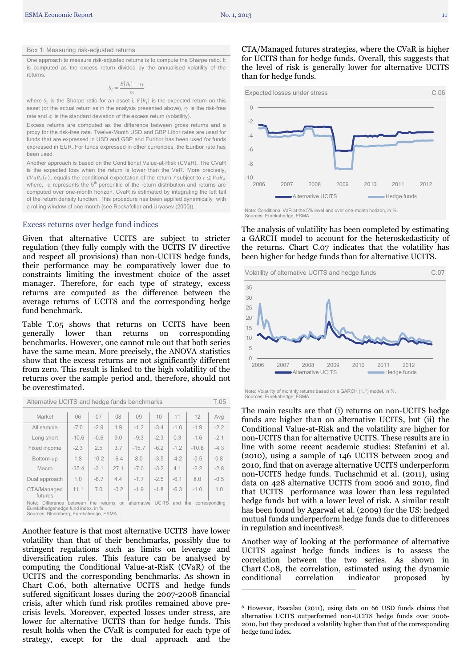#### Box 1: Measuring risk-adjusted returns

One approach to measure risk-adjusted returns is to compute the Sharpe ratio. It is computed as the excess return divided by the annualised volatility of the returns:

$$
S_i = \frac{E[R_i] - r_f}{\sigma_i}
$$

where  $S_i$  is the Sharpe ratio for an asset i,  $E[R_i]$  is the expected return on this asset (or the actual return as in the analysis presented above),  $r_f$  is the risk-free rate and  $\sigma_i$  is the standard deviation of the excess return (volatility).

Excess returns are computed as the difference between gross returns and a proxy for the risk-free rate. Twelve-Month USD and GBP Libor rates are used for funds that are expressed in USD and GBP and Euribor has been used for funds expressed in EUR. For funds expressed in other currencies, the Euribor rate has been used.

Another approach is based on the Conditional Value-at-Risk (CVaR). The CVaR is the expected loss when the return is lower than the VaR. More precisely,  $CVaR_{\alpha}(r)$ , equals the conditional expectation of the return r subject to where,  $\alpha$  represents the  $5<sup>th</sup>$  percentile of the return distribution and returns are computed over one-month horizon. CvaR is estimated by integrating the left tail of the return density function. This procedure has been applied dynamically with a rolling window of one month (see Rockafellar and Uryasev (2000)).

#### <span id="page-10-0"></span>Excess returns over hedge fund indices

Given that alternative UCITS are subject to stricter regulation (they fully comply with the UCITS IV directive and respect all provisions) than non-UCITS hedge funds, their performance may be comparatively lower due to constraints limiting the investment choice of the asset manager. Therefore, for each type of strategy, excess returns are computed as the difference between the average returns of UCITS and the corresponding hedge fund benchmark.

Table T.05 shows that returns on UCITS have been generally lower than returns on corresponding benchmarks. However, one cannot rule out that both series have the same mean. More precisely, the ANOVA statistics show that the excess returns are not significantly different from zero. This result is linked to the high volatility of the returns over the sample period and, therefore, should not be overestimated.

| Market                                                                                                                                                                                  | 06      | 07     | 08     | 09      | 10     | 11     | 12      | Avg    |
|-----------------------------------------------------------------------------------------------------------------------------------------------------------------------------------------|---------|--------|--------|---------|--------|--------|---------|--------|
| All sample                                                                                                                                                                              | $-7.0$  | $-2.9$ | 1.9    | $-1.2$  | $-3.4$ | $-1.0$ | $-1.9$  | $-2.2$ |
| Long short                                                                                                                                                                              | $-10.6$ | $-0.6$ | 9.0    | $-9.3$  | $-2.3$ | 0.3    | $-1.6$  | $-2.1$ |
| Fixed income                                                                                                                                                                            | $-2.3$  | 2.5    | 3.7    | $-15.7$ | $-6.2$ | $-1.2$ | $-10.8$ | $-4.3$ |
| Bottom-up                                                                                                                                                                               | 1.8     | 10.2   | $-6.4$ | 8.0     | $-3.5$ | $-4.2$ | $-0.5$  | 0.8    |
| Macro                                                                                                                                                                                   | $-35.4$ | $-3.1$ | 27.1   | $-7.0$  | $-3.2$ | 4.1    | $-2.2$  | $-2.8$ |
| Dual approach                                                                                                                                                                           | 1.0     | $-6.7$ | 4.4    | $-1.7$  | $-2.5$ | $-6.1$ | 8.0     | $-0.5$ |
| CTA/Managed<br>futures                                                                                                                                                                  | 11.1    | 7.0    | $-0.2$ | $-1.9$  | $-1.8$ | $-6.3$ | $-1.0$  | 1.0    |
| alternative UCITS<br>the<br>Note: Difference<br>returns<br>and<br>between<br>the<br>on<br>corresponding<br>Eurekahedgehedge fund index, in %.<br>Sources: Bloomberg, Eurekahedge, ESMA. |         |        |        |         |        |        |         |        |

Alternative UCITS and hedge funds benchmarks T.05

Another feature is that most alternative UCITS have lower volatility than that of their benchmarks, possibly due to stringent regulations such as limits on leverage and diversification rules. This feature can be analysed by computing the Conditional Value-at-RisK (CVaR) of the UCITS and the corresponding benchmarks. As shown in Chart C.06, both alternative UCITS and hedge funds suffered significant losses during the 2007-2008 financial crisis, after which fund risk profiles remained above precrisis levels. Moreover, expected losses under stress, are lower for alternative UCITS than for hedge funds. This result holds when the CVaR is computed for each type of strategy, except for the dual approach and the

CTA/Managed futures strategies, where the CVaR is higher for UCITS than for hedge funds. Overall, this suggests that the level of risk is generally lower for alternative UCITS than for hedge funds.



The analysis of volatility has been completed by estimating a GARCH model to account for the heteroskedasticity of the returns. Chart C.07 indicates that the volatility has been higher for hedge funds than for alternative UCITS.



Note: Volatility of monthly returns based on a GARCH (1,1) model, in %. Sources: Eurekahedge, ESMA.

The main results are that (i) returns on non-UCITS hedge funds are higher than on alternative UCITS, but (ii) the Conditional Value-at-Risk and the volatility are higher for non-UCITS than for alternative UCITS. These results are in line with some recent academic studies: Stefanini et al. (2010), using a sample of 146 UCITS between 2009 and 2010, find that on average alternative UCITS underperform non-UCITS hedge funds. Tuchschmid et al. (2011), using data on 428 alternative UCITS from 2006 and 2010, find that UCITS performance was lower than less regulated hedge funds but with a lower level of risk. A similar result has been found by Agarwal et al. (2009) for the US: hedged mutual funds underperform hedge funds due to differences in regulation and incentives8.

Another way of looking at the performance of alternative UCITS against hedge funds indices is to assess the correlation between the two series. As shown in Chart C.08, the correlation, estimated using the dynamic conditional correlation indicator proposed by

**.** 

<sup>8</sup> However, Pascalau (2011), using data on 66 USD funds claims that alternative UCITS outperformed non-UCITS hedge funds over 2006- 2010, but they produced a volatility higher than that of the corresponding hedge fund index.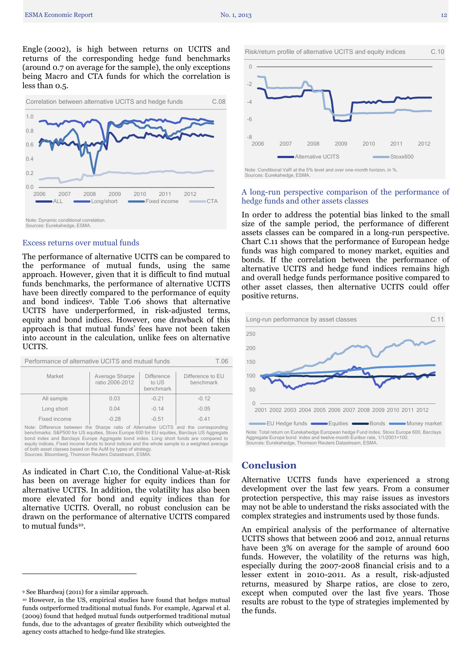

#### <span id="page-11-0"></span>Excess returns over mutual funds

The performance of alternative UCITS can be compared to the performance of mutual funds, using the same approach. However, given that it is difficult to find mutual funds benchmarks, the performance of alternative UCITS have been directly compared to the performance of equity and bond indices9. Table T.06 shows that alternative UCITS have underperformed, in risk-adjusted terms, equity and bond indices. However, one drawback of this approach is that mutual funds' fees have not been taken into account in the calculation, unlike fees on alternative UCITS.

| Performance of alternative UCITS and mutual funds<br>T 06 |                                   |                                         |                               |  |  |  |
|-----------------------------------------------------------|-----------------------------------|-----------------------------------------|-------------------------------|--|--|--|
| Market                                                    | Average Sharpe<br>ratio 2006-2012 | <b>Difference</b><br>to US<br>benchmark | Difference to EU<br>benchmark |  |  |  |
| All sample                                                | 0.03                              | $-0.21$                                 | $-0.12$                       |  |  |  |
| Long short                                                | 0.04                              | $-0.14$                                 | $-0.05$                       |  |  |  |
| Fixed income                                              | $-0.28$                           | $-0.51$                                 | $-0.41$                       |  |  |  |

Note: Difference between the Sharpe ratio of Alternative UCITS and the corresponding benchmarks: S&P500 for US equities, Stoxx Europe 600 for EU equities, Barclays US Aggregate bond index and Barclays Europe Aggregate bond index. Long short funds are compared to equity indices, Fixed income funds to bond indices and the whole sample to a weighted average of both asset classes based on the AuM by types of strategy. Sources: Bloomberg, Thomson Reuters Datastream, ESMA.

As indicated in Chart C.10, the Conditional Value-at-Risk has been on average higher for equity indices than for alternative UCITS. In addition, the volatility has also been more elevated for bond and equity indices than for alternative UCITS. Overall, no robust conclusion can be drawn on the performance of alternative UCITS compared to mutual funds<sup>10</sup>.

 $\overline{a}$ 



#### <span id="page-11-1"></span>A long-run perspective comparison of the performance of hedge funds and other assets classes

In order to address the potential bias linked to the small size of the sample period, the performance of different assets classes can be compared in a long-run perspective. Chart C.11 shows that the performance of European hedge funds was high compared to money market, equities and bonds. If the correlation between the performance of alternative UCITS and hedge fund indices remains high and overall hedge funds performance positive compared to other asset classes, then alternative UCITS could offer positive returns.



### <span id="page-11-2"></span>**Conclusion**

Alternative UCITS funds have experienced a strong development over the last few years. From a consumer protection perspective, this may raise issues as investors may not be able to understand the risks associated with the complex strategies and instruments used by those funds.

An empirical analysis of the performance of alternative UCITS shows that between 2006 and 2012, annual returns have been 3% on average for the sample of around 600 funds. However, the volatility of the returns was high, especially during the 2007-2008 financial crisis and to a lesser extent in 2010-2011. As a result, risk-adjusted returns, measured by Sharpe ratios, are close to zero, except when computed over the last five years. Those results are robust to the type of strategies implemented by the funds.

<sup>9</sup> See Bhardwaj (2011) for a similar approach.

<sup>10</sup> However, in the US, empirical studies have found that hedges mutual funds outperformed traditional mutual funds. For example, Agarwal et al. (2009) found that hedged mutual funds outperformed traditional mutual funds, due to the advantages of greater flexibility which outweighted the agency costs attached to hedge-fund like strategies.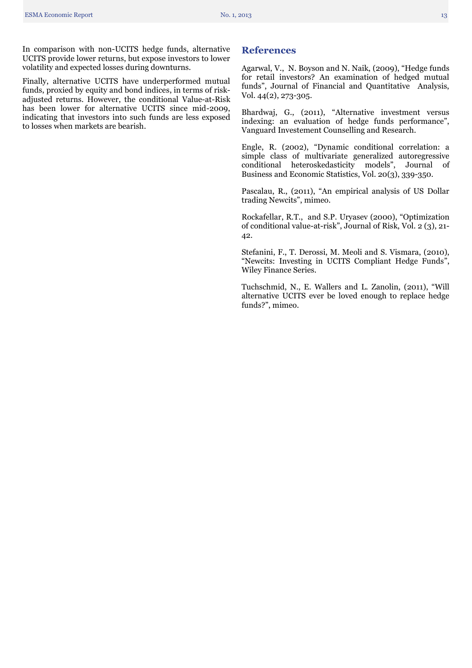In comparison with non-UCITS hedge funds, alternative UCITS provide lower returns, but expose investors to lower volatility and expected losses during downturns.

Finally, alternative UCITS have underperformed mutual funds, proxied by equity and bond indices, in terms of riskadjusted returns. However, the conditional Value-at-Risk has been lower for alternative UCITS since mid-2009, indicating that investors into such funds are less exposed to losses when markets are bearish.

### <span id="page-12-0"></span>**References**

Agarwal, V., N. Boyson and N. Naik, (2009), "Hedge funds for retail investors? An examination of hedged mutual funds", Journal of Financial and Quantitative Analysis, Vol. 44(2), 273-305.

Bhardwaj, G., (2011), "Alternative investment versus indexing: an evaluation of hedge funds performance", Vanguard Investement Counselling and Research.

Engle, R. (2002), "Dynamic conditional correlation: a simple class of multivariate generalized autoregressive conditional heteroskedasticity models", Journal of Business and Economic Statistics, Vol. 20(3), 339-350.

Pascalau, R., (2011), "An empirical analysis of US Dollar trading Newcits", mimeo.

Rockafellar, R.T., and S.P. Uryasev (2000), "Optimization of conditional value-at-risk", Journal of Risk, Vol. 2 (3), 21- 42.

Stefanini, F., T. Derossi, M. Meoli and S. Vismara, (2010), "Newcits: Investing in UCITS Compliant Hedge Funds", Wiley Finance Series.

Tuchschmid, N., E. Wallers and L. Zanolin, (2011), "Will alternative UCITS ever be loved enough to replace hedge funds?", mimeo.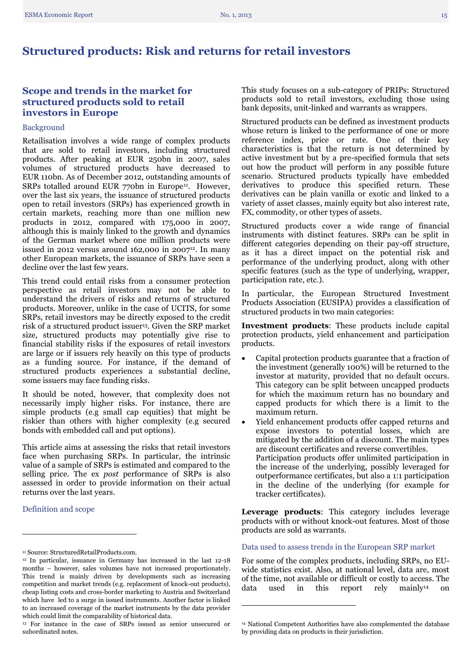# <span id="page-14-0"></span>**Structured products: Risk and returns for retail investors**

# <span id="page-14-1"></span>**Scope and trends in the market for structured products sold to retail investors in Europe**

#### Background

Retailisation involves a wide range of complex products that are sold to retail investors, including structured products. After peaking at EUR 250bn in 2007, sales volumes of structured products have decreased to EUR 110bn. As of December 2012, outstanding amounts of SRPs totalled around EUR 770bn in Europe<sup>11</sup>. However, over the last six years, the issuance of structured products open to retail investors (SRPs) has experienced growth in certain markets, reaching more than one million new products in 2012, compared with 175,000 in 2007, although this is mainly linked to the growth and dynamics of the German market where one million products were issued in 2012 versus around 162,000 in 2007 $12$ . In many other European markets, the issuance of SRPs have seen a decline over the last few years.

This trend could entail risks from a consumer protection perspective as retail investors may not be able to understand the drivers of risks and returns of structured products. Moreover, unlike in the case of UCITS, for some SRPs, retail investors may be directly exposed to the credit risk of a structured product issuer<sup>13</sup>. Given the SRP market size, structured products may potentially give rise to financial stability risks if the exposures of retail investors are large or if issuers rely heavily on this type of products as a funding source. For instance, if the demand of structured products experiences a substantial decline, some issuers may face funding risks.

It should be noted, however, that complexity does not necessarily imply higher risks. For instance, there are simple products (e.g small cap equities) that might be riskier than others with higher complexity (e.g secured bonds with embedded call and put options).

This article aims at assessing the risks that retail investors face when purchasing SRPs. In particular, the intrinsic value of a sample of SRPs is estimated and compared to the selling price. The ex *post* performance of SRPs is also assessed in order to provide information on their actual returns over the last years.

<span id="page-14-2"></span>Definition and scope

 $\overline{a}$ 

This study focuses on a sub-category of PRIPs: Structured products sold to retail investors, excluding those using bank deposits, unit-linked and warrants as wrappers.

Structured products can be defined as investment products whose return is linked to the performance of one or more reference index, price or rate. One of their key characteristics is that the return is not determined by active investment but by a pre-specified formula that sets out how the product will perform in any possible future scenario. Structured products typically have embedded derivatives to produce this specified return. These derivatives can be plain vanilla or exotic and linked to a variety of asset classes, mainly equity but also interest rate, FX, commodity, or other types of assets.

Structured products cover a wide range of financial instruments with distinct features. SRPs can be split in different categories depending on their pay-off structure, as it has a direct impact on the potential risk and performance of the underlying product, along with other specific features (such as the type of underlying, wrapper, participation rate, etc.).

In particular, the European Structured Investment Products Association (EUSIPA) provides a classification of structured products in two main categories:

**Investment products**: These products include capital protection products, yield enhancement and participation products.

- Capital protection products guarantee that a fraction of the investment (generally 100%) will be returned to the investor at maturity, provided that no default occurs. This category can be split between uncapped products for which the maximum return has no boundary and capped products for which there is a limit to the maximum return.
- Yield enhancement products offer capped returns and expose investors to potential losses, which are mitigated by the addition of a discount. The main types are discount certificates and reverse convertibles. Participation products offer unlimited participation in the increase of the underlying, possibly leveraged for outperformance certificates, but also a 1:1 participation in the decline of the underlying (for example for tracker certificates).

**Leverage products**: This category includes leverage products with or without knock-out features. Most of those products are sold as warrants.

#### <span id="page-14-3"></span>Data used to assess trends in the European SRP market

For some of the complex products, including SRPs, no EUwide statistics exist. Also, at national level, data are, most of the time, not available or difficult or costly to access. The data used in this report rely mainly<sup>14</sup> on data used in this report rely mainly<sup>14</sup> on

**.** 

<sup>11</sup> Source: StructuredRetailProducts.com.

<sup>12</sup> In particular, issuance in Germany has increased in the last 12-18 months – however, sales volumes have not increased proportionately. This trend is mainly driven by developments such as increasing competition and market trends (e.g. replacement of knock-out products), cheap listing costs and cross-border marketing to Austria and Switzerland which have led to a surge in issued instruments. Another factor is linked to an increased coverage of the market instruments by the data provider which could limit the comparability of historical data.

<sup>13</sup> For instance in the case of SRPs issued as senior unsecured or subordinated notes.

<sup>14</sup> National Competent Authorities have also complemented the database by providing data on products in their jurisdiction.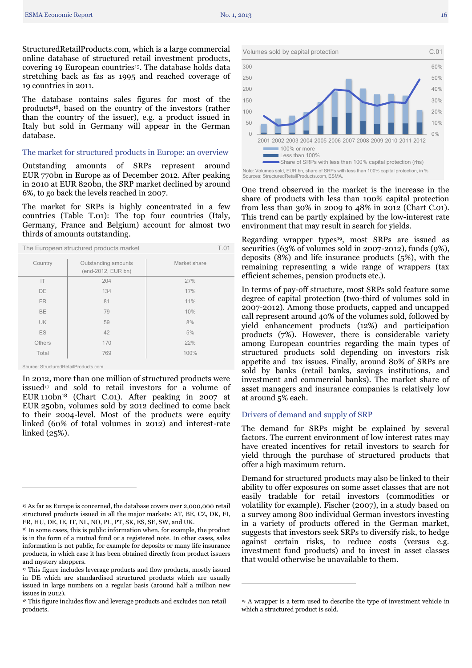StructuredRetailProducts.com, which is a large commercial online database of structured retail investment products, covering 19 European countries<sup>15</sup>. The database holds data stretching back as fas as 1995 and reached coverage of 19 countries in 2011.

The database contains sales figures for most of the products16, based on the country of the investors (rather than the country of the issuer), e.g. a product issued in Italy but sold in Germany will appear in the German database.

#### <span id="page-15-0"></span>The market for structured products in Europe: an overview

Outstanding amounts of SRPs represent around EUR 770bn in Europe as of December 2012. After peaking in 2010 at EUR 820bn, the SRP market declined by around 6%, to go back the levels reached in 2007.

The market for SRPs is highly concentrated in a few countries (Table T.01): The top four countries (Italy, Germany, France and Belgium) account for almost two thirds of amounts outstanding.

| The European structured products market<br>T.01 |                                           |              |  |  |
|-------------------------------------------------|-------------------------------------------|--------------|--|--|
| Country                                         | Outstanding amounts<br>(end-2012, EUR bn) | Market share |  |  |
| IT                                              | 204                                       | 27%          |  |  |
| DE                                              | 134                                       | 17%          |  |  |
| <b>FR</b>                                       | 81                                        | 11%          |  |  |
| <b>BE</b>                                       | 79                                        | 10%          |  |  |
| <b>UK</b>                                       | 59                                        | 8%           |  |  |
| ES                                              | 42                                        | 5%           |  |  |
| <b>Others</b>                                   | 170                                       | 22%          |  |  |
| Total                                           | 769                                       | 100%         |  |  |
|                                                 |                                           |              |  |  |

Source: StructuredRetailProducts.com.

 $\overline{a}$ 

In 2012, more than one million of structured products were issued<sup>17</sup> and sold to retail investors for a volume of EUR 110bn<sup>18</sup> (Chart C.01). After peaking in 2007 at EUR 250bn, volumes sold by 2012 declined to come back to their 2004-level. Most of the products were equity linked (60% of total volumes in 2012) and interest-rate linked (25%).



Note: Volumes sold, EUR bn, share of SRPs with less than 100% capital protection, in %. Sources: StructuredRetailProducts.com, ESMA.

One trend observed in the market is the increase in the share of products with less than 100% capital protection from less than 30% in 2009 to 48% in 2012 (Chart C.01). This trend can be partly explained by the low-interest rate environment that may result in search for yields.

Regarding wrapper types<sup>19</sup>, most SRPs are issued as securities (63% of volumes sold in 2007-2012), funds (9%), deposits (8%) and life insurance products (5%), with the remaining representing a wide range of wrappers (tax efficient schemes, pension products etc.).

In terms of pay-off structure, most SRPs sold feature some degree of capital protection (two-third of volumes sold in 2007-2012). Among those products, capped and uncapped call represent around 40% of the volumes sold, followed by yield enhancement products (12%) and participation products (7%). However, there is considerable variety among European countries regarding the main types of structured products sold depending on investors risk appetite and tax issues. Finally, around 80% of SRPs are sold by banks (retail banks, savings institutions, and investment and commercial banks). The market share of asset managers and insurance companies is relatively low at around 5% each.

#### <span id="page-15-1"></span>Drivers of demand and supply of SRP

 $\overline{a}$ 

The demand for SRPs might be explained by several factors. The current environment of low interest rates may have created incentives for retail investors to search for yield through the purchase of structured products that offer a high maximum return.

Demand for structured products may also be linked to their ability to offer exposures on some asset classes that are not easily tradable for retail investors (commodities or volatility for example). Fischer (2007), in a study based on a survey among 800 individual German investors investing in a variety of products offered in the German market, suggests that investors seek SRPs to diversify risk, to hedge against certain risks, to reduce costs (versus e.g. investment fund products) and to invest in asset classes that would otherwise be unavailable to them.

<sup>15</sup> As far as Europe is concerned, the database covers over 2,000,000 retail structured products issued in all the major markets: AT, BE, CZ, DK, FI, FR, HU, DE, IE, IT, NL, NO, PL, PT, SK, ES, SE, SW, and UK.

<sup>&</sup>lt;sup>16</sup> In some cases, this is public information when, for example, the product is in the form of a mutual fund or a registered note. In other cases, sales information is not public, for example for deposits or many life insurance products, in which case it has been obtained directly from product issuers and mystery shoppers.

<sup>&</sup>lt;sup>17</sup> This figure includes leverage products and flow products, mostly issued in DE which are standardised structured products which are usually issued in large numbers on a regular basis (around half a million new issues in 2012).

<sup>18</sup> This figure includes flow and leverage products and excludes non retail products.

<sup>&</sup>lt;sup>19</sup> A wrapper is a term used to describe the type of investment vehicle in which a structured product is sold.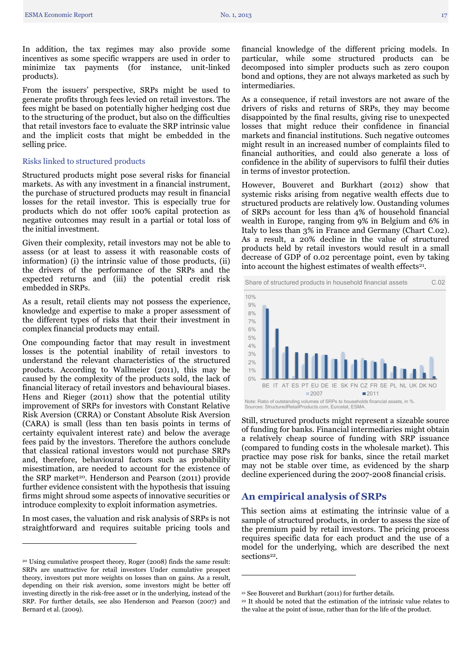In addition, the tax regimes may also provide some incentives as some specific wrappers are used in order to minimize tax payments (for instance, unit-linked products).

From the issuers' perspective, SRPs might be used to generate profits through fees levied on retail investors. The fees might be based on potentially higher hedging cost due to the structuring of the product, but also on the difficulties that retail investors face to evaluate the SRP intrinsic value and the implicit costs that might be embedded in the selling price.

#### <span id="page-16-0"></span>Risks linked to structured products

Structured products might pose several risks for financial markets. As with any investment in a financial instrument, the purchase of structured products may result in financial losses for the retail investor. This is especially true for products which do not offer 100% capital protection as negative outcomes may result in a partial or total loss of the initial investment.

Given their complexity, retail investors may not be able to assess (or at least to assess it with reasonable costs of information) (i) the intrinsic value of those products, (ii) the drivers of the performance of the SRPs and the expected returns and (iii) the potential credit risk embedded in SRPs.

As a result, retail clients may not possess the experience, knowledge and expertise to make a proper assessment of the different types of risks that their their investment in complex financial products may entail.

One compounding factor that may result in investment losses is the potential inability of retail investors to understand the relevant characteristics of the structured products. According to Wallmeier (2011), this may be caused by the complexity of the products sold, the lack of financial literacy of retail investors and behavioural biases. Hens and Rieger (2011) show that the potential utility improvement of SRPs for investors with Constant Relative Risk Aversion (CRRA) or Constant Absolute Risk Aversion (CARA) is small (less than ten basis points in terms of certainty equivalent interest rate) and below the average fees paid by the investors. Therefore the authors conclude that classical rational investors would not purchase SRPs and, therefore, behavioural factors such as probability misestimation, are needed to account for the existence of the SRP market<sup>20</sup>. Henderson and Pearson (2011) provide further evidence consistent with the hypothesis that issuing firms might shroud some aspects of innovative securities or introduce complexity to exploit information asymetries.

In most cases, the valuation and risk analysis of SRPs is not straightforward and requires suitable pricing tools and

 $\overline{a}$ 

financial knowledge of the different pricing models. In particular, while some structured products can be decomposed into simpler products such as zero coupon bond and options, they are not always marketed as such by intermediaries.

As a consequence, if retail investors are not aware of the drivers of risks and returns of SRPs, they may become disappointed by the final results, giving rise to unexpected losses that might reduce their confidence in financial markets and financial institutions. Such negative outcomes might result in an increased number of complaints filed to financial authorities, and could also generate a loss of confidence in the ability of supervisors to fulfil their duties in terms of investor protection.

However, Bouveret and Burkhart (2012) show that systemic risks arising from negative wealth effects due to structured products are relatively low. Oustanding volumes of SRPs account for less than 4% of household financial wealth in Europe, ranging from 9% in Belgium and 6% in Italy to less than 3% in France and Germany (Chart C.02). As a result, a 20% decline in the value of structured products held by retail investors would result in a small decrease of GDP of 0.02 percentage point, even by taking into account the highest estimates of wealth effects<sup>21</sup>.



Still, structured products might represent a sizeable source of funding for banks. Financial intermediaries might obtain a relatively cheap source of funding with SRP issuance (compared to funding costs in the wholesale market). This practice may pose risk for banks, since the retail market may not be stable over time, as evidenced by the sharp decline experienced during the 2007-2008 financial crisis.

### <span id="page-16-1"></span>**An empirical analysis of SRPs**

This section aims at estimating the intrinsic value of a sample of structured products, in order to assess the size of the premium paid by retail investors. The pricing process requires specific data for each product and the use of a model for the underlying, which are described the next sections<sup>22</sup>.

**.** 

<sup>20</sup> Using cumulative prospect theory, Roger (2008) finds the same result: SRPs are unattractive for retail investors Under cumulative prospect theory, investors put more weights on losses than on gains. As a result, depending on their risk aversion, some investors might be better off investing directly in the risk-free asset or in the underlying, instead of the SRP. For further details, see also Henderson and Pearson (2007) and Bernard et al. (2009).

<sup>21</sup> See Bouveret and Burkhart (2011) for further details.

<sup>22</sup> It should be noted that the estimation of the intrinsic value relates to the value at the point of issue, rather than for the life of the product.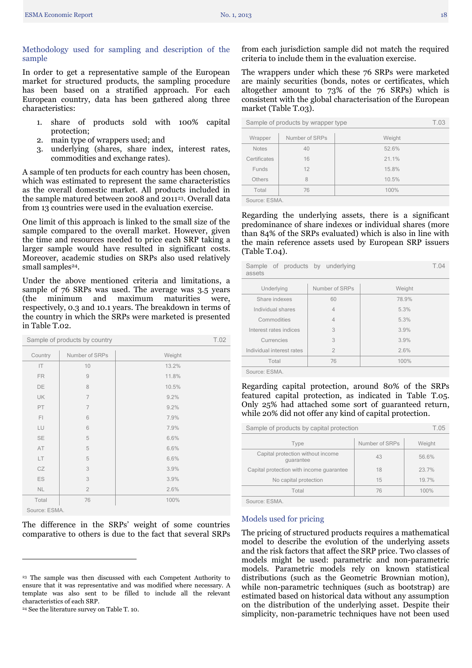<span id="page-17-0"></span>Methodology used for sampling and description of the sample

In order to get a representative sample of the European market for structured products, the sampling procedure has been based on a stratified approach. For each European country, data has been gathered along three characteristics:

- 1. share of products sold with 100% capital protection;
- 2. main type of wrappers used; and
- 3. underlying (shares, share index, interest rates, commodities and exchange rates).

A sample of ten products for each country has been chosen, which was estimated to represent the same characteristics as the overall domestic market. All products included in the sample matured between 2008 and 2011<sup>23</sup>. Overall data from 13 countries were used in the evaluation exercise.

One limit of this approach is linked to the small size of the sample compared to the overall market. However, given the time and resources needed to price each SRP taking a larger sample would have resulted in significant costs. Moreover, academic studies on SRPs also used relatively small samples<sup>24</sup>.

Under the above mentioned criteria and limitations, a sample of 76 SRPs was used. The average was 3.5 years (the minimum and maximum maturities were, respectively, 0.3 and 10.1 years. The breakdown in terms of the country in which the SRPs were marketed is presented in Table T.02.

| Sample of products by country |                |        |  |  |  |
|-------------------------------|----------------|--------|--|--|--|
| Country                       | Number of SRPs | Weight |  |  |  |
| IT                            | 10             | 13.2%  |  |  |  |
| FR                            | 9              | 11.8%  |  |  |  |
| DE                            | 8              | 10.5%  |  |  |  |
| UK                            | $\overline{7}$ | 9.2%   |  |  |  |
| PT                            | $\overline{7}$ | 9.2%   |  |  |  |
| F1                            | 6              | 7.9%   |  |  |  |
| LU                            | 6              | 7.9%   |  |  |  |
| <b>SE</b>                     | 5              | 6.6%   |  |  |  |
| AT                            | 5              | 6.6%   |  |  |  |
| LT                            | 5              | 6.6%   |  |  |  |
| CZ                            | 3              | 3.9%   |  |  |  |
| ES                            | 3              | 3.9%   |  |  |  |
| NL.                           | $\overline{2}$ | 2.6%   |  |  |  |
| Total                         | 76             | 100%   |  |  |  |
| Source: ESMA.                 |                |        |  |  |  |

The difference in the SRPs' weight of some countries comparative to others is due to the fact that several SRPs

<sup>24</sup> See the literature survey on Table T. 10.

 $\overline{a}$ 

from each jurisdiction sample did not match the required criteria to include them in the evaluation exercise.

The wrappers under which these 76 SRPs were marketed are mainly securities (bonds, notes or certificates, which altogether amount to 73% of the 76 SRPs) which is consistent with the global characterisation of the European market (Table T.03).

| Sample of products by wrapper type |                |        |  |  |  |
|------------------------------------|----------------|--------|--|--|--|
| Wrapper                            | Number of SRPs | Weight |  |  |  |
| <b>Notes</b>                       | 40             | 52.6%  |  |  |  |
| Certificates                       | 16             | 21.1%  |  |  |  |
| Funds                              | 12             | 15.8%  |  |  |  |
| Others                             | 8              | 10.5%  |  |  |  |
| Total                              | 76             | 100%   |  |  |  |
|                                    |                |        |  |  |  |

Source: ESMA.

Regarding the underlying assets, there is a significant predominance of share indexes or individual shares (more than 84% of the SRPs evaluated) which is also in line with the main reference assets used by European SRP issuers (Table T.04).

| Sample of products by underlying<br>assets                  |                |        |  |  |  |
|-------------------------------------------------------------|----------------|--------|--|--|--|
| Underlying                                                  | Number of SRPs | Weight |  |  |  |
| Share indexes                                               | 60             | 78.9%  |  |  |  |
| Individual shares                                           | $\overline{4}$ | 5.3%   |  |  |  |
| Commodities                                                 | $\overline{4}$ | 5.3%   |  |  |  |
| Interest rates indices                                      | 3              | 3.9%   |  |  |  |
| Currencies                                                  | 3              | 3.9%   |  |  |  |
| Individual interest rates                                   | $\overline{2}$ | 2.6%   |  |  |  |
| Total                                                       | 76             | 100%   |  |  |  |
| $O$ - $\cdots$ - $\cdots$ $\Box$ $\Box$ $\Lambda$ $\Lambda$ |                |        |  |  |  |

Source: ESMA.

Regarding capital protection, around 80% of the SRPs featured capital protection, as indicated in Table T.05. Only 25% had attached some sort of guaranteed return, while 20% did not offer any kind of capital protection.

| Sample of products by capital protection       | T.05           |        |  |  |  |
|------------------------------------------------|----------------|--------|--|--|--|
| Type                                           | Number of SRPs | Weight |  |  |  |
| Capital protection without income<br>quarantee | 43             | 56.6%  |  |  |  |
| Capital protection with income quarantee       | 18             | 23.7%  |  |  |  |
| No capital protection                          | 15             | 19.7%  |  |  |  |
| Total                                          | 76             | 100%   |  |  |  |
| COURON ECMA                                    |                |        |  |  |  |

<span id="page-17-1"></span>Source: ESMA.

Models used for pricing

The pricing of structured products requires a mathematical model to describe the evolution of the underlying assets and the risk factors that affect the SRP price. Two classes of models might be used: parametric and non-parametric models. Parametric models rely on known statistical distributions (such as the Geometric Brownian motion), while non-parametric techniques (such as bootstrap) are estimated based on historical data without any assumption on the distribution of the underlying asset. Despite their simplicity, non-parametric techniques have not been used

<sup>23</sup> The sample was then discussed with each Competent Authority to ensure that it was representative and was modified where necessary. A template was also sent to be filled to include all the relevant characteristics of each SRP.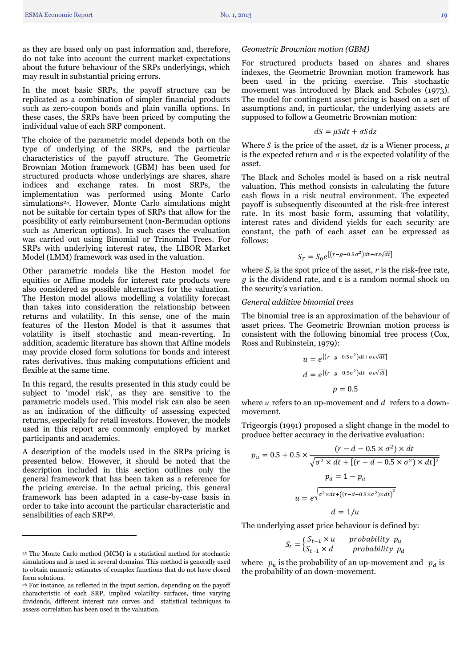as they are based only on past information and, therefore, do not take into account the current market expectations about the future behaviour of the SRPs underlyings, which may result in substantial pricing errors.

In the most basic SRPs, the payoff structure can be replicated as a combination of simpler financial products such as zero-coupon bonds and plain vanilla options. In these cases, the SRPs have been priced by computing the individual value of each SRP component.

The choice of the parametric model depends both on the type of underlying of the SRPs, and the particular characteristics of the payoff structure. The Geometric Brownian Motion framework (GBM) has been used for structured products whose underlyings are shares, share indices and exchange rates. In most SRPs, the implementation was performed using Monte Carlo simulations <sup>25</sup>. However, Monte Carlo simulations might not be suitable for certain types of SRPs that allow for the possibility of early reimbursement (non-Bermudan options such as American options). In such cases the evaluation was carried out using Binomial or Trinomial Trees. For SRPs with underlying interest rates, the LIBOR Market Model (LMM) framework was used in the valuation.

Other parametric models like the Heston model for equities or Affine models for interest rate products were also considered as possible alternatives for the valuation. The Heston model allows modelling a volatility forecast than takes into consideration the relationship between returns and volatility. In this sense, one of the main features of the Heston Model is that it assumes that volatility is itself stochastic and mean-reverting. In addition, academic literature has shown that Affine models may provide closed form solutions for bonds and interest rates derivatives, thus making computations efficient and flexible at the same time.

In this regard, the results presented in this study could be subject to 'model risk', as they are sensitive to the parametric models used. This model risk can also be seen as an indication of the difficulty of assessing expected returns, especially for retail investors. However, the models used in this report are commonly employed by market participants and academics.

A description of the models used in the SRPs pricing is presented below. However, it should be noted that the description included in this section outlines only the general framework that has been taken as a reference for the pricing exercise. In the actual pricing, this general framework has been adapted in a case-by-case basis in order to take into account the particular characteristic and sensibilities of each SRP<sup>26</sup>.

 $\ddot{\phantom{a}}$ 

#### *Geometric Brownian motion (GBM)*

For structured products based on shares and shares indexes, the Geometric Brownian motion framework has been used in the pricing exercise. This stochastic movement was introduced by Black and Scholes (1973). The model for contingent asset pricing is based on a set of assumptions and, in particular, the underlying assets are supposed to follow a Geometric Brownian motion:

$$
dS = \mu S dt + \sigma S dz
$$

Where S is the price of the asset,  $dz$  is a Wiener process,  $\mu$ is the expected return and  $\sigma$  is the expected volatility of the asset.

The Black and Scholes model is based on a risk neutral valuation. This method consists in calculating the future cash flows in a risk neutral environment. The expected payoff is subsequently discounted at the risk-free interest rate. In its most basic form, assuming that volatility, interest rates and dividend yields for each security are constant, the path of each asset can be expressed as follows:

$$
S_T = S_0 e^{\left[ (r - g - 0.5\sigma^2) dt + \sigma \varepsilon \sqrt{dt} \right]}
$$

where  $S<sub>o</sub>$  is the spot price of the asset,  $r$  is the risk-free rate,  $g$  is the dividend rate, and  $\varepsilon$  is a random normal shock on the security's variation.

#### *General additive binomial trees*

The binomial tree is an approximation of the behaviour of asset prices. The Geometric Brownian motion process is consistent with the following binomial tree process (Cox, Ross and Rubinstein, 1979):

$$
u = e^{\left[(r - g - 0.5\sigma^2)dt + \sigma \varepsilon \sqrt{dt}\right]}
$$

$$
d = e^{\left[(r - g - 0.5\sigma^2)dt - \sigma \varepsilon \sqrt{dt}\right]}
$$

$$
p = 0.5
$$

where  $u$  refers to an up-movement and  $d$  refers to a downmovement.

Trigeorgis (1991) proposed a slight change in the model to produce better accuracy in the derivative evaluation:

$$
p_u = 0.5 + 0.5 \times \frac{(r - d - 0.5 \times \sigma^2) \times dt}{\sqrt{\sigma^2 \times dt + [(r - d - 0.5 \times \sigma^2) \times dt]^2}}
$$

$$
p_d = 1 - p_u
$$

$$
u = e^{\sqrt{\sigma^2 \times dt + ((r - d - 0.5 \times \sigma^2) \times dt)^2}}
$$

$$
d = 1/u
$$

The underlying asset price behaviour is defined by:

$$
S_t = \begin{cases} S_{t-1} \times u & \text{probability } p_u \\ S_{t-1} \times d & \text{probability } p_d \end{cases}
$$

where  $p_u$  is the probability of an up-movement and  $p_d$  is the probability of an down-movement.

<sup>25</sup> The Monte Carlo method (MCM) is a statistical method for stochastic simulations and is used in several domains. This method is generally used to obtain numeric estimates of complex functions that do not have closed form solutions.

<sup>26</sup> For instance, as reflected in the input section, depending on the payoff characteristic of each SRP, implied volatility surfaces, time varying dividends, different interest rate curves and statistical techniques to assess correlation has been used in the valuation.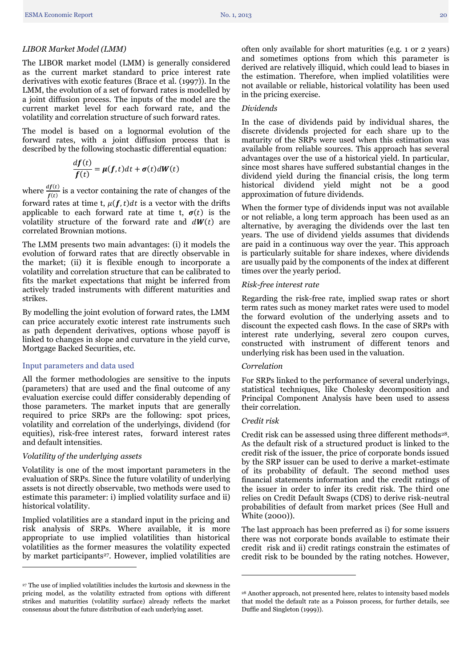#### *LIBOR Market Model (LMM)*

The LIBOR market model (LMM) is generally considered as the current market standard to price interest rate derivatives with exotic features (Brace et al. (1997)). In the LMM, the evolution of a set of forward rates is modelled by a joint diffusion process. The inputs of the model are the current market level for each forward rate, and the volatility and correlation structure of such forward rates.

The model is based on a lognormal evolution of the forward rates, with a joint diffusion process that is described by the following stochastic differential equation:

$$
\frac{df(t)}{f(t)} = \mu(f, t)dt + \sigma(t)dW(t)
$$

where  $\frac{df(t)}{f(t)}$  is a vector containing the rate of changes of the

forward rates at time t,  $\mu(f, t)dt$  is a vector with the drifts applicable to each forward rate at time t,  $\sigma(t)$  is the volatility structure of the forward rate and  $dW(t)$  are correlated Brownian motions.

The LMM presents two main advantages: (i) it models the evolution of forward rates that are directly observable in the market; (ii) it is flexible enough to incorporate a volatility and correlation structure that can be calibrated to fits the market expectations that might be inferred from actively traded instruments with different maturities and strikes.

By modelling the joint evolution of forward rates, the LMM can price accurately exotic interest rate instruments such as path dependent derivatives, options whose payoff is linked to changes in slope and curvature in the yield curve, Mortgage Backed Securities, etc.

#### <span id="page-19-0"></span>Input parameters and data used

All the former methodologies are sensitive to the inputs (parameters) that are used and the final outcome of any evaluation exercise could differ considerably depending of those parameters. The market inputs that are generally required to price SRPs are the following: spot prices, volatility and correlation of the underlyings, dividend (for equities), risk-free interest rates, forward interest rates and default intensities.

#### *Volatility of the underlying assets*

 $\overline{a}$ 

Volatility is one of the most important parameters in the evaluation of SRPs. Since the future volatility of underlying assets is not directly observable, two methods were used to estimate this parameter: i) implied volatility surface and ii) historical volatility.

Implied volatilities are a standard input in the pricing and risk analysis of SRPs. Where available, it is more appropriate to use implied volatilities than historical volatilities as the former measures the volatility expected by market participants<sup>27</sup>. However, implied volatilities are often only available for short maturities (e.g. 1 or 2 years) and sometimes options from which this parameter is derived are relatively illiquid, which could lead to biases in the estimation. Therefore, when implied volatilities were not available or reliable, historical volatility has been used in the pricing exercise.

#### *Dividends*

In the case of dividends paid by individual shares, the discrete dividends projected for each share up to the maturity of the SRPs were used when this estimation was available from reliable sources. This approach has several advantages over the use of a historical yield. In particular, since most shares have suffered substantial changes in the dividend yield during the financial crisis, the long term historical dividend yield might not be a good approximation of future dividends.

When the former type of dividends input was not available or not reliable, a long term approach has been used as an alternative, by averaging the dividends over the last ten years. The use of dividend yields assumes that dividends are paid in a continuous way over the year. This approach is particularly suitable for share indexes, where dividends are usually paid by the components of the index at different times over the yearly period.

#### *Risk-free interest rate*

Regarding the risk-free rate, implied swap rates or short term rates such as money market rates were used to model the forward evolution of the underlying assets and to discount the expected cash flows. In the case of SRPs with interest rate underlying, several zero coupon curves, constructed with instrument of different tenors and underlying risk has been used in the valuation.

#### *Correlation*

For SRPs linked to the performance of several underlyings, statistical techniques, like Cholesky decomposition and Principal Component Analysis have been used to assess their correlation.

#### *Credit risk*

**.** 

Credit risk can be assessed using three different methods<sup>28</sup>. As the default risk of a structured product is linked to the credit risk of the issuer, the price of corporate bonds issued by the SRP issuer can be used to derive a market-estimate of its probability of default. The second method uses financial statements information and the credit ratings of the issuer in order to infer its credit risk. The third one relies on Credit Default Swaps (CDS) to derive risk-neutral probabilities of default from market prices (See Hull and White (2000)).

The last approach has been preferred as i) for some issuers there was not corporate bonds available to estimate their credit risk and ii) credit ratings constrain the estimates of credit risk to be bounded by the rating notches. However,

<sup>27</sup> The use of implied volatilities includes the kurtosis and skewness in the pricing model, as the volatility extracted from options with different strikes and maturities (volatility surface) already reflects the market consensus about the future distribution of each underlying asset.

<sup>28</sup> Another approach, not presented here, relates to intensity based models that model the default rate as a Poisson process, for further details, see Duffie and Singleton (1999)).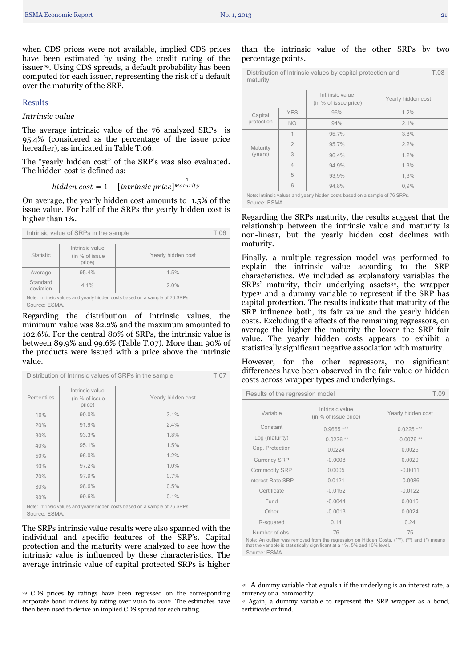when CDS prices were not available, implied CDS prices have been estimated by using the credit rating of the issuer<sup>29</sup>. Using CDS spreads, a default probability has been computed for each issuer, representing the risk of a default over the maturity of the SRP.

#### <span id="page-20-0"></span>Results

#### *Intrinsic value*

The average intrinsic value of the 76 analyzed SRPs is 95.4% (considered as the percentage of the issue price hereafter), as indicated in Table T.06.

The "yearly hidden cost" of the SRP's was also evaluated. The hidden cost is defined as:

# hidden cost  $= 1 - [\text{intrinsic price}]^{\frac{1}{Matu}}$

On average, the yearly hidden cost amounts to 1.5% of the issue value. For half of the SRPs the yearly hidden cost is higher than 1%.

| Intrinsic value of SRPs in the sample                                                                               |                                             |                    |  |
|---------------------------------------------------------------------------------------------------------------------|---------------------------------------------|--------------------|--|
| <b>Statistic</b>                                                                                                    | Intrinsic value<br>(in % of issue<br>price) | Yearly hidden cost |  |
| Average                                                                                                             | 95.4%                                       | 1.5%               |  |
| Standard<br>deviation                                                                                               | 4.1%                                        | 2.0%               |  |
| Note: Intrinsic values and yearly hidden costs based on a sample of 76 SRPs.<br>$C_{\text{AllFDA}}$ $\subset$ $CMA$ |                                             |                    |  |

Source: ESMA.

Regarding the distribution of intrinsic values, the minimum value was 82.2% and the maximum amounted to 102.6%. For the central 80% of SRPs, the intrinsic value is between 89.9% and 99.6% (Table T.07). More than 90% of the products were issued with a price above the intrinsic value.

|                                                             | Distribution of Intrinsic values of SRPs in the sample                       |       |                    |  |  |  |
|-------------------------------------------------------------|------------------------------------------------------------------------------|-------|--------------------|--|--|--|
| Intrinsic value<br>Percentiles<br>(in % of issue)<br>price) |                                                                              |       | Yearly hidden cost |  |  |  |
|                                                             | 10%                                                                          | 90.0% | 3.1%               |  |  |  |
|                                                             | 20%                                                                          | 91.9% | 2.4%               |  |  |  |
|                                                             | 30%                                                                          | 93.3% | 1.8%               |  |  |  |
|                                                             | 40%                                                                          | 95.1% | 1.5%               |  |  |  |
|                                                             | 50%                                                                          | 96.0% | 1.2%               |  |  |  |
|                                                             | 60%                                                                          | 97.2% | 1.0%               |  |  |  |
|                                                             | 70%                                                                          | 97.9% | 0.7%               |  |  |  |
|                                                             | 80%                                                                          | 98.6% | 0.5%               |  |  |  |
|                                                             | 90%                                                                          | 99.6% | 0.1%               |  |  |  |
|                                                             | Note: Intrinsic values and yearly hidden costs based on a sample of 76 SRPs. |       |                    |  |  |  |

Source: ESMA.

 $\overline{a}$ 

The SRPs intrinsic value results were also spanned with the individual and specific features of the SRP's. Capital protection and the maturity were analyzed to see how the intrinsic value is influenced by these characteristics. The average intrinsic value of capital protected SRPs is higher

#### than the intrinsic value of the other SRPs by two percentage points.

| Distribution of Intrinsic values by capital protection and | T.08 |
|------------------------------------------------------------|------|
| maturity                                                   |      |

|            |                | Intrinsic value<br>(in % of issue price)                                     | Yearly hidden cost |
|------------|----------------|------------------------------------------------------------------------------|--------------------|
| Capital    | <b>YES</b>     | 96%                                                                          | 1.2%               |
| protection | <b>NO</b>      | 94%                                                                          | 2.1%               |
|            | 1              | 95.7%                                                                        | 3.8%               |
| Maturity   | $\overline{2}$ | 95.7%                                                                        | 2.2%               |
| (years)    | 3              | 96,4%                                                                        | 1,2%               |
|            | 4              | 94,9%                                                                        | 1,3%               |
|            | 5              | 93,9%                                                                        | 1,3%               |
|            | 6              | 94,8%                                                                        | 0.9%               |
|            |                | Note: Intrinsic values and yearly hidden costs based on a sample of 76 SRPs. |                    |

Source: ESMA.

Regarding the SRPs maturity, the results suggest that the relationship between the intrinsic value and maturity is non-linear, but the yearly hidden cost declines with maturity.

Finally, a multiple regression model was performed to explain the intrinsic value according to the SRP characteristics. We included as explanatory variables the SRPs' maturity, their underlying assets<sup>30</sup>, the wrapper type<sup>31</sup> and a dummy variable to represent if the SRP has capital protection. The results indicate that maturity of the SRP influence both, its fair value and the yearly hidden costs. Excluding the effects of the remaining regressors, on average the higher the maturity the lower the SRP fair value. The yearly hidden costs appears to exhibit a statistically significant negative association with maturity.

However, for the other regressors, no significant differences have been observed in the fair value or hidden costs across wrapper types and underlyings.

| Results of the regression model |                                          |                    |  |  |
|---------------------------------|------------------------------------------|--------------------|--|--|
| Variable                        | Intrinsic value<br>(in % of issue price) | Yearly hidden cost |  |  |
| Constant                        | $0.9665$ ***                             | $0.0225$ ***       |  |  |
| Log (maturity)                  | $-0.0236**$                              | $-0.0079**$        |  |  |
| Cap. Protection                 | 0.0224                                   | 0.0025             |  |  |
| <b>Currency SRP</b>             | $-0.0008$                                | 0.0020             |  |  |
| <b>Commodity SRP</b>            | 0.0005                                   | $-0.0011$          |  |  |
| Interest Rate SRP               | 0.0121                                   | $-0.0086$          |  |  |
| Certificate                     | $-0.0152$                                | $-0.0122$          |  |  |
| Fund                            | $-0.0044$                                | 0.0015             |  |  |
| Other                           | $-0.0013$                                | 0.0024             |  |  |
| R-squared                       | 0.14                                     | 0.24               |  |  |
| Number of obs.                  | 76                                       | 75                 |  |  |

Note: An outlier was removed from the regression on Hidden Costs. (\*\*\*), (\*\*) and (\*) means that the variable is statistically significant at a 1%, 5% and 10% level. Source: ESMA.

**.** 

<sup>29</sup> CDS prices by ratings have been regressed on the corresponding corporate bond indices by rating over 2010 to 2012. The estimates have then been used to derive an implied CDS spread for each rating.

<sup>30</sup> A dummy variable that equals 1 if the underlying is an interest rate, a currency or a commodity.

<sup>&</sup>lt;sup>31</sup> Again, a dummy variable to represent the SRP wrapper as a bond, certificate or fund.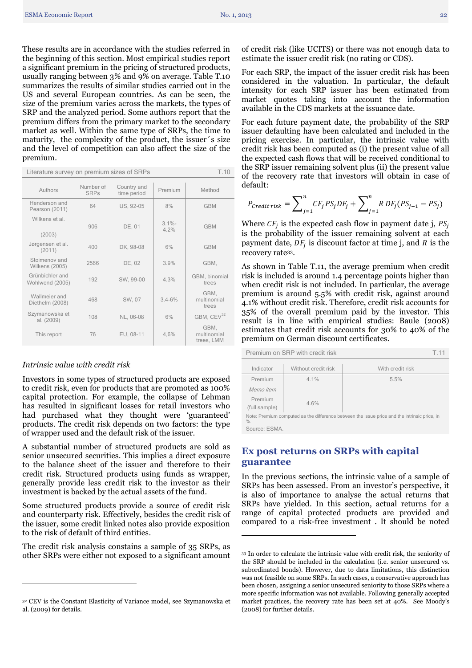These results are in accordance with the studies referred in the beginning of this section. Most empirical studies report a significant premium in the pricing of structured products, usually ranging between 3% and 9% on average. Table T.10 summarizes the results of similar studies carried out in the US and several European countries. As can be seen, the size of the premium varies across the markets, the types of SRP and the analyzed period. Some authors report that the premium differs from the primary market to the secondary market as well. Within the same type of SRPs, the time to maturity, the complexity of the product, the issuer´s size and the level of competition can also affect the size of the premium.

| Literature survey on premium sizes of SRPs<br>T.10 |        |           |                |                                   |  |
|----------------------------------------------------|--------|-----------|----------------|-----------------------------------|--|
| Authors                                            | Method |           |                |                                   |  |
| Henderson and<br>Pearson (2011)                    | 64     | US, 92-05 | 8%             | <b>GBM</b>                        |  |
| Wilkens et al<br>(2003)                            | 906    | DE, 01    | $31% -$<br>42% | <b>GBM</b>                        |  |
| Jørgensen et al.<br>(2011)                         | 400    | DK, 98-08 | 6%             | <b>GBM</b>                        |  |
| Stoimenov and<br><b>Wilkens (2005)</b>             | 2566   | DE. 02    | 3.9%           | GBM,                              |  |
| Grünbichler and<br>Wohlwend (2005)                 | 192    | SW. 99-00 | 4.3%           | GBM, binomial<br>trees            |  |
| Wallmeier and<br>Diethelm (2008)                   | 468    | SW, 07    | $3.4 - 6%$     | GBM,<br>multinomial<br>trees      |  |
| Szymanowska et<br>al. (2009)                       | 108    | NL, 06-08 | 6%             | GBM, CEV <sup>32</sup>            |  |
| This report                                        | 76     | EU, 08-11 | 4,6%           | GBM,<br>multinomial<br>trees, LMM |  |

#### *Intrinsic value with credit risk*

 $\overline{a}$ 

Investors in some types of structured products are exposed to credit risk, even for products that are promoted as 100% capital protection. For example, the collapse of Lehman has resulted in significant losses for retail investors who had purchased what they thought were 'guaranteed' products. The credit risk depends on two factors: the type of wrapper used and the default risk of the issuer.

A substantial number of structured products are sold as senior unsecured securities. This implies a direct exposure to the balance sheet of the issuer and therefore to their credit risk. Structured products using funds as wrapper, generally provide less credit risk to the investor as their investment is backed by the actual assets of the fund.

Some structured products provide a source of credit risk and counterparty risk. Effectively, besides the credit risk of the issuer, some credit linked notes also provide exposition to the risk of default of third entities.

The credit risk analysis constains a sample of 35 SRPs, as other SRPs were either not exposed to a significant amount

of credit risk (like UCITS) or there was not enough data to estimate the issuer credit risk (no rating or CDS).

For each SRP, the impact of the issuer credit risk has been considered in the valuation. In particular, the default intensity for each SRP issuer has been estimated from market quotes taking into account the information available in the CDS markets at the issuance date.

For each future payment date, the probability of the SRP issuer defaulting have been calculated and included in the pricing exercise. In particular, the intrinsic value with credit risk has been computed as (i) the present value of all the expected cash flows that will be received conditional to the SRP issuer remaining solvent plus (ii) the present value of the recovery rate that investors will obtain in case of default:

$$
P_{\text{credit risk}} = \sum_{j=1}^{n} CF_j \, PS_j DF_j + \sum_{j=1}^{n} R \, DF_j (PS_{j-1} - PS_j)
$$

Where  $CF_i$  is the expected cash flow in payment date j, is the probability of the issuer remaining solvent at each payment date,  $DF_i$  is discount factor at time j, and R is the recovery rate33.

As shown in Table T.11, the average premium when credit risk is included is around 1.4 percentage points higher than when credit risk is not included. In particular, the average premium is around 5.5% with credit risk, against around 4.1% without credit risk. Therefore, credit risk accounts for 35% of the overall premium paid by the investor. This result is in line with empirical studies: Baule (2008) estimates that credit risk accounts for 30% to 40% of the premium on German discount certificates.

| Indicator                                                                                              | Without credit risk | With credit risk |  |  |  |
|--------------------------------------------------------------------------------------------------------|---------------------|------------------|--|--|--|
|                                                                                                        |                     |                  |  |  |  |
| Premium                                                                                                | 4.1%                | 5.5%             |  |  |  |
| Memo item                                                                                              |                     |                  |  |  |  |
| Premium                                                                                                | 4.6%                |                  |  |  |  |
| (full sample)                                                                                          |                     |                  |  |  |  |
| Note: Premium computed as the difference between the issue price and the intrinsic price, in<br>$\%$ . |                     |                  |  |  |  |
| $O$ - $\cdots$ -- $\cdots$ $\Box$ $\Box$ $\land$ $\land$                                               |                     |                  |  |  |  |

Premium on SRP with credit risk T.11

<span id="page-21-0"></span>Source: ESMA.

1

# **Ex post returns on SRPs with capital guarantee**

In the previous sections, the intrinsic value of a sample of SRPs has been assessed. From an investor's perspective, it is also of importance to analyse the actual returns that SRPs have yielded. In this section, actual returns for a range of capital protected products are provided and compared to a risk-free investment . It should be noted

<sup>32</sup> CEV is the Constant Elasticity of Variance model, see Szymanowska et al. (2009) for details.

<sup>33</sup> In order to calculate the intrinsic value with credit risk, the seniority of the SRP should be included in the calculation (i.e. senior unsecured vs. subordinated bonds). However, due to data limitations, this distinction was not feasible on some SRPs. In such cases, a conservative approach has been chosen, assigning a senior unsecured seniority to those SRPs where a more specific information was not available. Following generally accepted market practices, the recovery rate has been set at 40%. See Moody's (2008) for further details.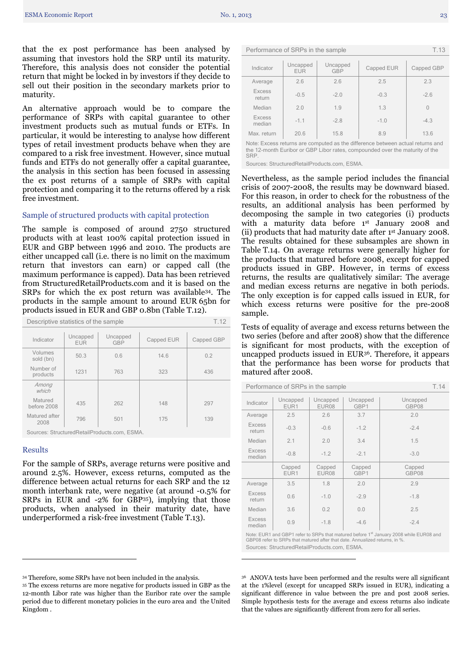that the ex post performance has been analysed by assuming that investors hold the SRP until its maturity. Therefore, this analysis does not consider the potential return that might be locked in by investors if they decide to sell out their position in the secondary markets prior to maturity.

An alternative approach would be to compare the performance of SRPs with capital guarantee to other investment products such as mutual funds or ETFs. In particular, it would be interesting to analyse how different types of retail investment products behave when they are compared to a risk free investment. However, since mutual funds and ETFs do not generally offer a capital guarantee, the analysis in this section has been focused in assessing the ex post returns of a sample of SRPs with capital protection and comparing it to the returns offered by a risk free investment.

#### <span id="page-22-0"></span>Sample of structured products with capital protection

The sample is composed of around 2750 structured products with at least 100% capital protection issued in EUR and GBP between 1996 and 2010. The products are either uncapped call (i.e. there is no limit on the maximum return that investors can earn) or capped call (the maximum performance is capped). Data has been retrieved from StructuredRetailProducts.com and it is based on the SRPs for which the ex post return was available34. The products in the sample amount to around EUR 65bn for products issued in EUR and GBP 0.8bn (Table T.12).

| Descriptive statistics of the sample         |                                                  |     |            | T.12       |
|----------------------------------------------|--------------------------------------------------|-----|------------|------------|
| Indicator                                    | Uncapped<br>Uncapped<br><b>EUR</b><br><b>GBP</b> |     | Capped EUR | Capped GBP |
| Volumes<br>sold (bn)                         | 50.3<br>0.6                                      |     | 14.6       | 0.2        |
| Number of<br>products                        | 1231                                             | 763 | 323        | 436        |
| Among<br>which                               |                                                  |     |            |            |
| Matured<br>before 2008                       | 435                                              | 262 | 148        | 297        |
| Matured after<br>2008                        | 796                                              | 501 | 175        | 139        |
| Sources: StructuredRetailProducts.com, ESMA. |                                                  |     |            |            |

#### <span id="page-22-1"></span>Results

 $\overline{a}$ 

For the sample of SRPs, average returns were positive and around 2.5%. However, excess returns, computed as the difference between actual returns for each SRP and the 12 month interbank rate, were negative (at around -0.5% for SRPs in EUR and -2% for GBP35), implying that those products, when analysed in their maturity date, have underperformed a risk-free investment (Table T.13).

Performance of SRPs in the sample T.13

| Indicator               | Uncapped<br>EUR | Uncapped<br>Capped EUR<br><b>GBP</b> |        | Capped GBP |
|-------------------------|-----------------|--------------------------------------|--------|------------|
| Average                 | 2.6             | 2.6                                  | 2.5    | 2.3        |
| <b>Excess</b><br>return | $-0.5$          | $-2.0$                               | $-0.3$ | $-2.6$     |
| Median                  | 2.0             | 1.9                                  | 1.3    | $\bigcap$  |
| <b>Excess</b><br>median | $-1.1$          | $-2.8$                               | $-1.0$ | $-4.3$     |
| Max. return             | 20.6            | 15.8                                 | 8.9    | 13.6       |

Note: Excess returns are computed as the difference between actual returns and the 12-month Euribor or GBP Libor rates, compounded over the maturity of the **SRP** 

Sources: StructuredRetailProducts.com, ESMA.

Nevertheless, as the sample period includes the financial crisis of 2007-2008, the results may be downward biased. For this reason, in order to check for the robustness of the results, an additional analysis has been performed by decomposing the sample in two categories (i) products with a maturity data before 1<sup>st</sup> January 2008 and (ii) products that had maturity date after  $1<sup>st</sup>$  January 2008. The results obtained for these subsamples are shown in Table T.14. On average returns were generally higher for the products that matured before 2008, except for capped products issued in GBP. However, in terms of excess returns, the results are qualitatively similar: The average and median excess returns are negative in both periods. The only exception is for capped calls issued in EUR, for which excess returns were positive for the pre-2008 sample.

Tests of equality of average and excess returns between the two series (before and after 2008) show that the difference is significant for most products, with the exception of uncapped products issued in EUR36. Therefore, it appears that the performance has been worse for products that matured after 2008.

| Performance of SRPs in the sample                                                           |                            |                 |                |                 |  |  |
|---------------------------------------------------------------------------------------------|----------------------------|-----------------|----------------|-----------------|--|--|
| Uncapped<br>Uncapped<br>Uncapped<br>Uncapped<br>Indicator<br>EUR08<br>GBP1<br>GBP08<br>EUR1 |                            |                 |                |                 |  |  |
| Average                                                                                     | 2.5                        | 2.6             | 3.7            | 2.0             |  |  |
| <b>Excess</b><br>return                                                                     | $-0.3$                     | $-0.6$          | $-1.2$         | $-2.4$          |  |  |
| Median                                                                                      | 2.1                        | 2.0             | 3.4            | 1.5             |  |  |
| <b>Excess</b><br>median                                                                     | $-0.8$                     | $-1.2$          | $-2.1$         | $-3.0$          |  |  |
|                                                                                             | Capped<br>EUR <sub>1</sub> | Capped<br>EUR08 | Capped<br>GBP1 | Capped<br>GBP08 |  |  |
| Average                                                                                     | 3.5                        | 1.8             | 2.0            | 2.9             |  |  |
| <b>Excess</b><br>return                                                                     | 0.6                        | $-1.0$          | $-2.9$         | $-1.8$          |  |  |
| Median                                                                                      | 3.6                        | 0.2             | 0.0            | 2.5             |  |  |
| <b>Excess</b><br>median                                                                     | 0.9                        | $-1.8$          | $-4.6$         | $-2.4$          |  |  |

te: EUR1 and GBP1 refer to SRPs that matured before 1<sup>st</sup> January 2008 while EUR08 and GBP08 refer to SRPs that matured after that date. Annualized returns, in % Sources: StructuredRetailProducts.com, ESMA.

 $\overline{a}$ 

<sup>34</sup> Therefore, some SRPs have not been included in the analysis.

<sup>35</sup> The excess returns are more negative for products issued in GBP as the 12-month Libor rate was higher than the Euribor rate over the sample period due to different monetary policies in the euro area and the United Kingdom .

<sup>36</sup> ANOVA tests have been performed and the results were all significant at the 1%level (except for uncapped SRPs issued in EUR), indicating a significant difference in value between the pre and post 2008 series. Simple hypothesis tests for the average and excess returns also indicate that the values are significantly different from zero for all series.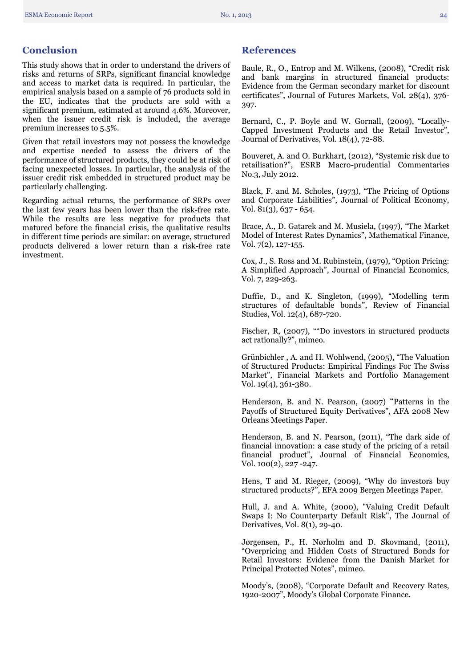# <span id="page-23-0"></span>**Conclusion**

This study shows that in order to understand the drivers of risks and returns of SRPs, significant financial knowledge and access to market data is required. In particular, the empirical analysis based on a sample of 76 products sold in the EU, indicates that the products are sold with a significant premium, estimated at around 4.6%. Moreover, when the issuer credit risk is included, the average premium increases to 5.5%.

Given that retail investors may not possess the knowledge and expertise needed to assess the drivers of the performance of structured products, they could be at risk of facing unexpected losses. In particular, the analysis of the issuer credit risk embedded in structured product may be particularly challenging.

<span id="page-23-1"></span>Regarding actual returns, the performance of SRPs over the last few years has been lower than the risk-free rate. While the results are less negative for products that matured before the financial crisis, the qualitative results in different time periods are similar: on average, structured products delivered a lower return than a risk-free rate investment.

### **References**

Baule, R., O., Entrop and M. Wilkens, (2008), "Credit risk and bank margins in structured financial products: Evidence from the German secondary market for discount certificates", Journal of Futures Markets, Vol. 28(4), 376- 397.

Bernard, C., P. Boyle and W. Gornall, (2009), "Locally-Capped Investment Products and the Retail Investor", Journal of Derivatives, Vol. 18(4), 72-88.

Bouveret, A. and O. Burkhart, (2012), "Systemic risk due to retailisation?", ESRB Macro-prudential Commentaries No.3, July 2012.

Black, F. and M. Scholes, (1973), "The Pricing of Options and Corporate Liabilities", Journal of Political Economy, Vol. 81(3), 637 - 654.

Brace, A., D. Gatarek and M. Musiela, (1997), "The Market Model of Interest Rates Dynamics", Mathematical Finance, Vol.  $7(2)$ , 127-155.

Cox, J., S. Ross and M. Rubinstein, (1979), "Option Pricing: A Simplified Approach", Journal of Financial Economics, Vol. 7, 229-263.

Duffie, D., and K. Singleton, (1999), "Modelling term structures of defaultable bonds", Review of Financial Studies, Vol. 12(4), 687-720.

Fischer, R, (2007), ""Do investors in structured products act rationally?", mimeo.

Grünbichler , A. and H. Wohlwend, (2005), "The Valuation of Structured Products: Empirical Findings For The Swiss Market", Financial Markets and Portfolio Management Vol. 19(4), 361-380.

Henderson, B. and N. Pearson, (2007) "Patterns in the Payoffs of Structured Equity Derivatives", AFA 2008 New Orleans Meetings Paper.

Henderson, B. and N. Pearson, (2011), "The dark side of financial innovation: a case study of the pricing of a retail financial product", Journal of Financial Economics, Vol. 100(2), 227 -247.

Hens, T and M. Rieger, (2009), "Why do investors buy structured products?", EFA 2009 Bergen Meetings Paper.

Hull, J. and A. White, (2000), "Valuing Credit Default Swaps I: No Counterparty Default Risk", The Journal of Derivatives, Vol. 8(1), 29-40.

Jørgensen, P., H. Nørholm and D. Skovmand, (2011), "Overpricing and Hidden Costs of Structured Bonds for Retail Investors: Evidence from the Danish Market for Principal Protected Notes", mimeo.

Moody's, (2008), "Corporate Default and Recovery Rates, 1920-2007", Moody's Global Corporate Finance.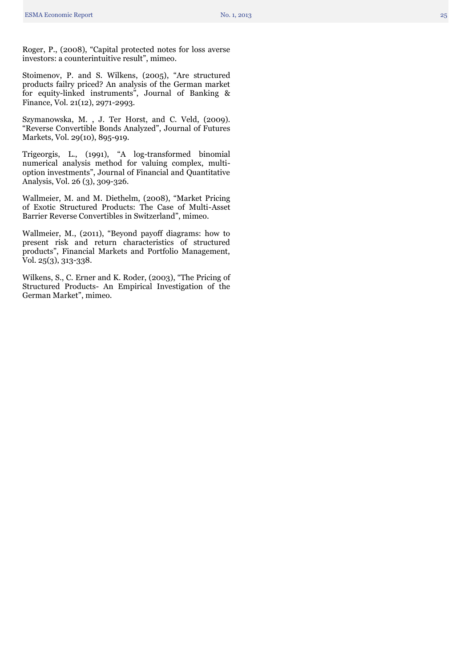Roger, P., (2008), "Capital protected notes for loss averse investors: a counterintuitive result", mimeo .

Stoimenov, P. and S. Wilkens , (2005), "Are structured products failry priced? An analysis of the German market for equity -linked instruments", Journal of Banking & Finance, Vol. 21(12), 2971 -2993.

Szymanowska, M. , J. Ter Horst, and C. Veld, (2009). "Reverse Convertible Bonds Analyzed", Journal of Futures Markets, Vol. 29(10), 895 -919.

Trigeorgis, L., (1991), "A log -transformed binomial numerical analysis method for valuing complex, multi option investments", Journal of Financial and Quantitative Analysis, Vol. 26 (3), 309 -326.

Wallmeier, M. and M. Diethelm , (2008), "Market Pricing of Exotic Structured Products: The Case of Multi -Asset Barrier Reverse Convertibles in Switzerland", mimeo.

Wallmeier, M., (2011), "Beyond payoff diagrams: how to present risk and return characteristics of structured products", Financial Markets and Portfolio Management, Vol. 25(3), 313 -338.

Wilkens, S., C . Erner and K . Roder , (2003), "The Pricing of Structured Products - An Empirical Investigation of the German Market", mimeo .